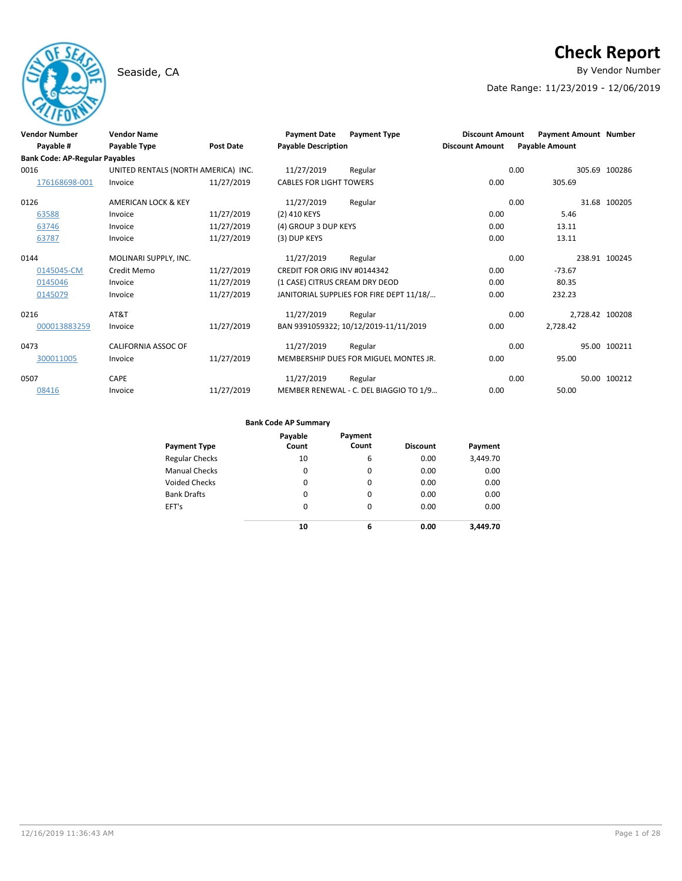# **Check Report**

Seaside, CA **By Vendor Number** 

Date Range: 11/23/2019 - 12/06/2019

| <b>Vendor Number</b>                  | <b>Vendor Name</b>                  |                  | <b>Payment Date</b>            | <b>Payment Type</b>                      | <b>Discount Amount</b> |                       | <b>Payment Amount Number</b> |
|---------------------------------------|-------------------------------------|------------------|--------------------------------|------------------------------------------|------------------------|-----------------------|------------------------------|
| Payable #                             | Payable Type                        | <b>Post Date</b> | <b>Payable Description</b>     |                                          | <b>Discount Amount</b> | <b>Payable Amount</b> |                              |
| <b>Bank Code: AP-Regular Payables</b> |                                     |                  |                                |                                          |                        |                       |                              |
| 0016                                  | UNITED RENTALS (NORTH AMERICA) INC. |                  | 11/27/2019                     | Regular                                  |                        | 0.00                  | 305.69 100286                |
| 176168698-001                         | Invoice                             | 11/27/2019       | <b>CABLES FOR LIGHT TOWERS</b> |                                          | 0.00                   | 305.69                |                              |
| 0126                                  | AMERICAN LOCK & KEY                 |                  | 11/27/2019                     | Regular                                  |                        | 0.00                  | 31.68 100205                 |
| 63588                                 | Invoice                             | 11/27/2019       | (2) 410 KEYS                   |                                          | 0.00                   | 5.46                  |                              |
| 63746                                 | Invoice                             | 11/27/2019       | (4) GROUP 3 DUP KEYS           |                                          | 0.00                   | 13.11                 |                              |
| 63787                                 | Invoice                             | 11/27/2019       | (3) DUP KEYS                   |                                          | 0.00                   | 13.11                 |                              |
| 0144                                  | MOLINARI SUPPLY, INC.               |                  | 11/27/2019                     | Regular                                  |                        | 0.00                  | 238.91 100245                |
| 0145045-CM                            | Credit Memo                         | 11/27/2019       | CREDIT FOR ORIG INV #0144342   |                                          | 0.00                   | $-73.67$              |                              |
| 0145046                               | Invoice                             | 11/27/2019       | (1 CASE) CITRUS CREAM DRY DEOD |                                          | 0.00                   | 80.35                 |                              |
| 0145079                               | Invoice                             | 11/27/2019       |                                | JANITORIAL SUPPLIES FOR FIRE DEPT 11/18/ | 0.00                   | 232.23                |                              |
| 0216                                  | AT&T                                |                  | 11/27/2019                     | Regular                                  |                        | 0.00                  | 2,728.42 100208              |
| 000013883259                          | Invoice                             | 11/27/2019       |                                | BAN 9391059322; 10/12/2019-11/11/2019    | 0.00                   | 2,728.42              |                              |
| 0473                                  | CALIFORNIA ASSOC OF                 |                  | 11/27/2019                     | Regular                                  |                        | 0.00                  | 95.00 100211                 |
| 300011005                             | Invoice                             | 11/27/2019       |                                | MEMBERSHIP DUES FOR MIGUEL MONTES JR.    | 0.00                   | 95.00                 |                              |
| 0507                                  | <b>CAPE</b>                         |                  | 11/27/2019                     | Regular                                  |                        | 0.00                  | 50.00 100212                 |
| 08416                                 | Invoice                             | 11/27/2019       |                                | MEMBER RENEWAL - C. DEL BIAGGIO TO 1/9   | 0.00                   | 50.00                 |                              |

| <b>Payment Type</b>   | Payable<br>Count | Payment<br>Count | <b>Discount</b> | Payment  |
|-----------------------|------------------|------------------|-----------------|----------|
| <b>Regular Checks</b> | 10               | 6                | 0.00            | 3,449.70 |
| <b>Manual Checks</b>  | 0                | 0                | 0.00            | 0.00     |
| <b>Voided Checks</b>  | 0                | 0                | 0.00            | 0.00     |
| <b>Bank Drafts</b>    | 0                | 0                | 0.00            | 0.00     |
| EFT's                 | $\Omega$         | 0                | 0.00            | 0.00     |
|                       | 10               | 6                | 0.00            | 3.449.70 |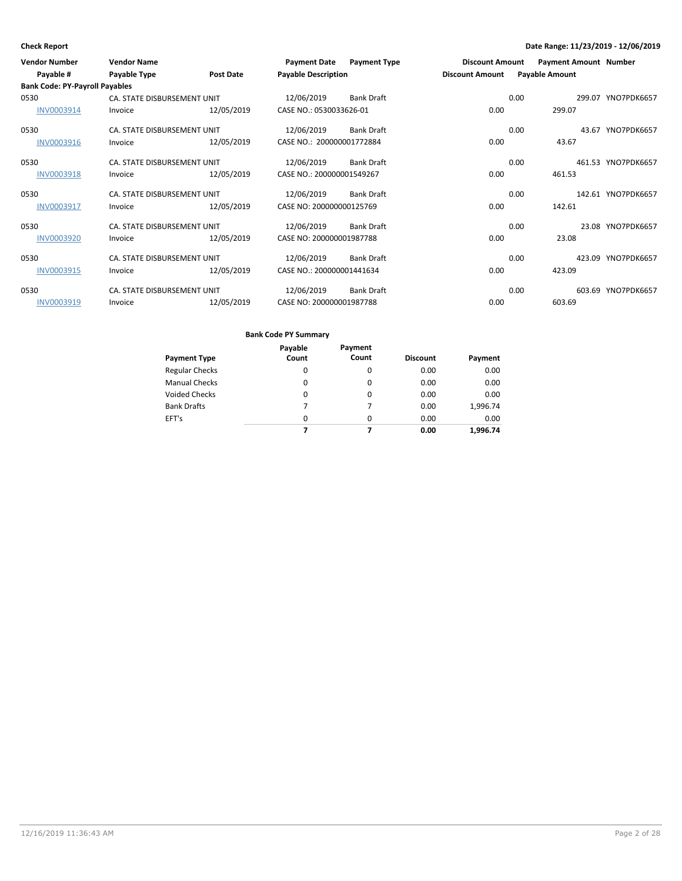| <b>Vendor Number</b>                  | <b>Vendor Name</b>          |                  | <b>Payment Date</b>        | <b>Payment Type</b> | <b>Discount Amount</b> |      | <b>Payment Amount Number</b> |                    |
|---------------------------------------|-----------------------------|------------------|----------------------------|---------------------|------------------------|------|------------------------------|--------------------|
| Payable #                             | Payable Type                | <b>Post Date</b> | <b>Payable Description</b> |                     | <b>Discount Amount</b> |      | <b>Payable Amount</b>        |                    |
| <b>Bank Code: PY-Payroll Payables</b> |                             |                  |                            |                     |                        |      |                              |                    |
| 0530                                  | CA. STATE DISBURSEMENT UNIT |                  | 12/06/2019                 | <b>Bank Draft</b>   |                        | 0.00 |                              | 299.07 YNO7PDK6657 |
| INV0003914                            | Invoice                     | 12/05/2019       | CASE NO.: 0530033626-01    |                     | 0.00                   |      | 299.07                       |                    |
| 0530                                  | CA. STATE DISBURSEMENT UNIT |                  | 12/06/2019                 | <b>Bank Draft</b>   |                        | 0.00 |                              | 43.67 YNO7PDK6657  |
| INV0003916                            | Invoice                     | 12/05/2019       | CASE NO.: 200000001772884  |                     | 0.00                   |      | 43.67                        |                    |
| 0530                                  | CA. STATE DISBURSEMENT UNIT |                  | 12/06/2019                 | <b>Bank Draft</b>   |                        | 0.00 |                              | 461.53 YNO7PDK6657 |
| <b>INV0003918</b>                     | Invoice                     | 12/05/2019       | CASE NO.: 200000001549267  |                     | 0.00                   |      | 461.53                       |                    |
| 0530                                  | CA. STATE DISBURSEMENT UNIT |                  | 12/06/2019                 | <b>Bank Draft</b>   |                        | 0.00 |                              | 142.61 YNO7PDK6657 |
| INV0003917                            | Invoice                     | 12/05/2019       | CASE NO: 200000000125769   |                     | 0.00                   |      | 142.61                       |                    |
| 0530                                  | CA. STATE DISBURSEMENT UNIT |                  | 12/06/2019                 | <b>Bank Draft</b>   |                        | 0.00 |                              | 23.08 YNO7PDK6657  |
| <b>INV0003920</b>                     | Invoice                     | 12/05/2019       | CASE NO: 200000001987788   |                     | 0.00                   |      | 23.08                        |                    |
| 0530                                  | CA. STATE DISBURSEMENT UNIT |                  | 12/06/2019                 | <b>Bank Draft</b>   |                        | 0.00 |                              | 423.09 YNO7PDK6657 |
| INV0003915                            | Invoice                     | 12/05/2019       | CASE NO.: 200000001441634  |                     | 0.00                   |      | 423.09                       |                    |
| 0530                                  | CA. STATE DISBURSEMENT UNIT |                  | 12/06/2019                 | <b>Bank Draft</b>   |                        | 0.00 |                              | 603.69 YNO7PDK6657 |
| INV0003919                            | Invoice                     | 12/05/2019       | CASE NO: 200000001987788   |                     | 0.00                   |      | 603.69                       |                    |

|                       | Payable  | Payment  |                 |          |
|-----------------------|----------|----------|-----------------|----------|
| <b>Payment Type</b>   | Count    | Count    | <b>Discount</b> | Payment  |
| <b>Regular Checks</b> | 0        | 0        | 0.00            | 0.00     |
| <b>Manual Checks</b>  | 0        | 0        | 0.00            | 0.00     |
| <b>Voided Checks</b>  | 0        | 0        | 0.00            | 0.00     |
| <b>Bank Drafts</b>    | 7        | 7        | 0.00            | 1,996.74 |
| EFT's                 | $\Omega$ | $\Omega$ | 0.00            | 0.00     |
|                       |          |          | 0.00            | 1.996.74 |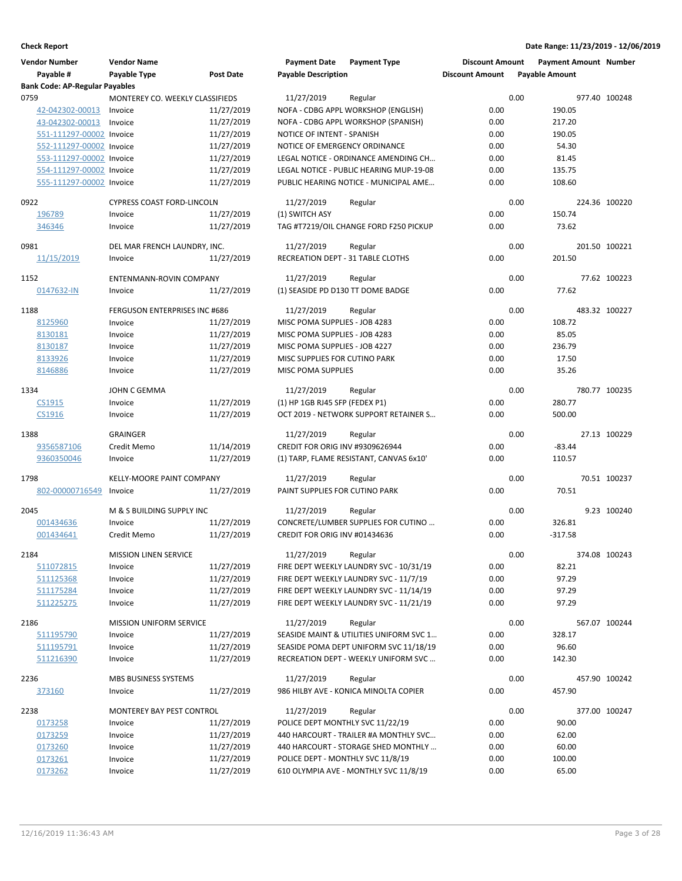| <b>Vendor Number</b>                  | <b>Vendor Name</b>                         |                          | <b>Payment Date</b>                                            | <b>Payment Type</b>                                                               | <b>Discount Amount</b> |      | <b>Payment Amount Number</b> |               |
|---------------------------------------|--------------------------------------------|--------------------------|----------------------------------------------------------------|-----------------------------------------------------------------------------------|------------------------|------|------------------------------|---------------|
| Payable #                             | Payable Type                               | <b>Post Date</b>         | <b>Payable Description</b>                                     |                                                                                   | <b>Discount Amount</b> |      | <b>Payable Amount</b>        |               |
| <b>Bank Code: AP-Regular Payables</b> |                                            |                          |                                                                |                                                                                   |                        |      |                              |               |
| 0759<br>42-042302-00013               | MONTEREY CO. WEEKLY CLASSIFIEDS<br>Invoice | 11/27/2019               | 11/27/2019                                                     | Regular<br>NOFA - CDBG APPL WORKSHOP (ENGLISH)                                    | 0.00                   | 0.00 | 190.05                       | 977.40 100248 |
| 43-042302-00013                       | Invoice                                    | 11/27/2019               |                                                                | NOFA - CDBG APPL WORKSHOP (SPANISH)                                               | 0.00                   |      | 217.20                       |               |
| 551-111297-00002 Invoice              |                                            | 11/27/2019               | NOTICE OF INTENT - SPANISH                                     |                                                                                   | 0.00                   |      | 190.05                       |               |
| 552-111297-00002 Invoice              |                                            | 11/27/2019               | NOTICE OF EMERGENCY ORDINANCE                                  |                                                                                   | 0.00                   |      | 54.30                        |               |
| 553-111297-00002 Invoice              |                                            | 11/27/2019               |                                                                | LEGAL NOTICE - ORDINANCE AMENDING CH                                              | 0.00                   |      | 81.45                        |               |
| 554-111297-00002 Invoice              |                                            | 11/27/2019               |                                                                | LEGAL NOTICE - PUBLIC HEARING MUP-19-08                                           | 0.00                   |      | 135.75                       |               |
| 555-111297-00002 Invoice              |                                            | 11/27/2019               |                                                                | PUBLIC HEARING NOTICE - MUNICIPAL AME                                             | 0.00                   |      | 108.60                       |               |
|                                       |                                            |                          |                                                                |                                                                                   |                        |      |                              |               |
| 0922<br>196789                        | CYPRESS COAST FORD-LINCOLN<br>Invoice      | 11/27/2019               | 11/27/2019<br>(1) SWITCH ASY                                   | Regular                                                                           | 0.00                   | 0.00 | 150.74                       | 224.36 100220 |
| 346346                                | Invoice                                    | 11/27/2019               |                                                                | TAG #T7219/OIL CHANGE FORD F250 PICKUP                                            | 0.00                   |      | 73.62                        |               |
|                                       |                                            |                          |                                                                |                                                                                   |                        |      |                              |               |
| 0981                                  | DEL MAR FRENCH LAUNDRY, INC.               |                          | 11/27/2019                                                     | Regular                                                                           |                        | 0.00 |                              | 201.50 100221 |
| 11/15/2019                            | Invoice                                    | 11/27/2019               | RECREATION DEPT - 31 TABLE CLOTHS                              |                                                                                   | 0.00                   |      | 201.50                       |               |
| 1152                                  | ENTENMANN-ROVIN COMPANY                    |                          | 11/27/2019                                                     | Regular                                                                           |                        | 0.00 |                              | 77.62 100223  |
| 0147632-IN                            | Invoice                                    | 11/27/2019               | (1) SEASIDE PD D130 TT DOME BADGE                              |                                                                                   | 0.00                   |      | 77.62                        |               |
|                                       |                                            |                          |                                                                |                                                                                   |                        |      |                              |               |
| 1188                                  | FERGUSON ENTERPRISES INC #686              |                          | 11/27/2019                                                     | Regular                                                                           |                        | 0.00 |                              | 483.32 100227 |
| 8125960                               | Invoice                                    | 11/27/2019               | MISC POMA SUPPLIES - JOB 4283                                  |                                                                                   | 0.00                   |      | 108.72                       |               |
| 8130181                               | Invoice                                    | 11/27/2019               | MISC POMA SUPPLIES - JOB 4283                                  |                                                                                   | 0.00                   |      | 85.05                        |               |
| 8130187<br>8133926                    | Invoice                                    | 11/27/2019<br>11/27/2019 | MISC POMA SUPPLIES - JOB 4227<br>MISC SUPPLIES FOR CUTINO PARK |                                                                                   | 0.00<br>0.00           |      | 236.79<br>17.50              |               |
| 8146886                               | Invoice<br>Invoice                         | 11/27/2019               | MISC POMA SUPPLIES                                             |                                                                                   | 0.00                   |      | 35.26                        |               |
|                                       |                                            |                          |                                                                |                                                                                   |                        |      |                              |               |
| 1334                                  | JOHN C GEMMA                               |                          | 11/27/2019                                                     | Regular                                                                           |                        | 0.00 |                              | 780.77 100235 |
| CS1915                                | Invoice                                    | 11/27/2019               | (1) HP 1GB RJ45 SFP (FEDEX P1)                                 |                                                                                   | 0.00                   |      | 280.77                       |               |
| CS1916                                | Invoice                                    | 11/27/2019               |                                                                | OCT 2019 - NETWORK SUPPORT RETAINER S                                             | 0.00                   |      | 500.00                       |               |
| 1388                                  | <b>GRAINGER</b>                            |                          | 11/27/2019                                                     | Regular                                                                           |                        | 0.00 |                              | 27.13 100229  |
| 9356587106                            | Credit Memo                                | 11/14/2019               | CREDIT FOR ORIG INV #9309626944                                |                                                                                   | 0.00                   |      | $-83.44$                     |               |
| 9360350046                            | Invoice                                    | 11/27/2019               |                                                                | (1) TARP, FLAME RESISTANT, CANVAS 6x10'                                           | 0.00                   |      | 110.57                       |               |
|                                       |                                            |                          |                                                                |                                                                                   |                        |      |                              |               |
| 1798                                  | KELLY-MOORE PAINT COMPANY                  |                          | 11/27/2019                                                     | Regular                                                                           |                        | 0.00 |                              | 70.51 100237  |
| 802-00000716549                       | Invoice                                    | 11/27/2019               | PAINT SUPPLIES FOR CUTINO PARK                                 |                                                                                   | 0.00                   |      | 70.51                        |               |
| 2045                                  | M & S BUILDING SUPPLY INC                  |                          | 11/27/2019                                                     | Regular                                                                           |                        | 0.00 |                              | 9.23 100240   |
| 001434636                             | Invoice                                    | 11/27/2019               |                                                                | CONCRETE/LUMBER SUPPLIES FOR CUTINO                                               | 0.00                   |      | 326.81                       |               |
| 001434641                             | Credit Memo                                | 11/27/2019               | CREDIT FOR ORIG INV #01434636                                  |                                                                                   | 0.00                   |      | $-317.58$                    |               |
| 2184                                  | MISSION LINEN SERVICE                      |                          | 11/27/2019                                                     | Regular                                                                           |                        | 0.00 |                              | 374.08 100243 |
| 511072815                             | Invoice                                    | 11/27/2019               |                                                                | FIRE DEPT WEEKLY LAUNDRY SVC - 10/31/19                                           | 0.00                   |      | 82.21                        |               |
| 511125368                             | Invoice                                    | 11/27/2019               |                                                                | FIRE DEPT WEEKLY LAUNDRY SVC - 11/7/19                                            | 0.00                   |      | 97.29                        |               |
| 511175284                             | Invoice                                    | 11/27/2019               |                                                                | FIRE DEPT WEEKLY LAUNDRY SVC - 11/14/19                                           | 0.00                   |      | 97.29                        |               |
| 511225275                             | Invoice                                    | 11/27/2019               |                                                                | FIRE DEPT WEEKLY LAUNDRY SVC - 11/21/19                                           | 0.00                   |      | 97.29                        |               |
|                                       |                                            |                          |                                                                |                                                                                   |                        |      |                              |               |
| 2186                                  | <b>MISSION UNIFORM SERVICE</b>             |                          | 11/27/2019                                                     | Regular                                                                           |                        | 0.00 |                              | 567.07 100244 |
| 511195790                             | Invoice                                    | 11/27/2019<br>11/27/2019 |                                                                | SEASIDE MAINT & UTILITIES UNIFORM SVC 1<br>SEASIDE POMA DEPT UNIFORM SVC 11/18/19 | 0.00<br>0.00           |      | 328.17<br>96.60              |               |
| 511195791<br>511216390                | Invoice<br>Invoice                         | 11/27/2019               |                                                                | RECREATION DEPT - WEEKLY UNIFORM SVC                                              | 0.00                   |      | 142.30                       |               |
|                                       |                                            |                          |                                                                |                                                                                   |                        |      |                              |               |
| 2236                                  | MBS BUSINESS SYSTEMS                       |                          | 11/27/2019                                                     | Regular                                                                           |                        | 0.00 |                              | 457.90 100242 |
| 373160                                | Invoice                                    | 11/27/2019               |                                                                | 986 HILBY AVE - KONICA MINOLTA COPIER                                             | 0.00                   |      | 457.90                       |               |
| 2238                                  | MONTEREY BAY PEST CONTROL                  |                          | 11/27/2019                                                     | Regular                                                                           |                        | 0.00 |                              | 377.00 100247 |
| 0173258                               | Invoice                                    | 11/27/2019               | POLICE DEPT MONTHLY SVC 11/22/19                               |                                                                                   | 0.00                   |      | 90.00                        |               |
| 0173259                               | Invoice                                    | 11/27/2019               |                                                                | 440 HARCOURT - TRAILER #A MONTHLY SVC                                             | 0.00                   |      | 62.00                        |               |
| 0173260                               | Invoice                                    | 11/27/2019               |                                                                | 440 HARCOURT - STORAGE SHED MONTHLY                                               | 0.00                   |      | 60.00                        |               |
| 0173261                               | Invoice                                    | 11/27/2019               | POLICE DEPT - MONTHLY SVC 11/8/19                              |                                                                                   | 0.00                   |      | 100.00                       |               |
| 0173262                               | Invoice                                    | 11/27/2019               |                                                                | 610 OLYMPIA AVE - MONTHLY SVC 11/8/19                                             | 0.00                   |      | 65.00                        |               |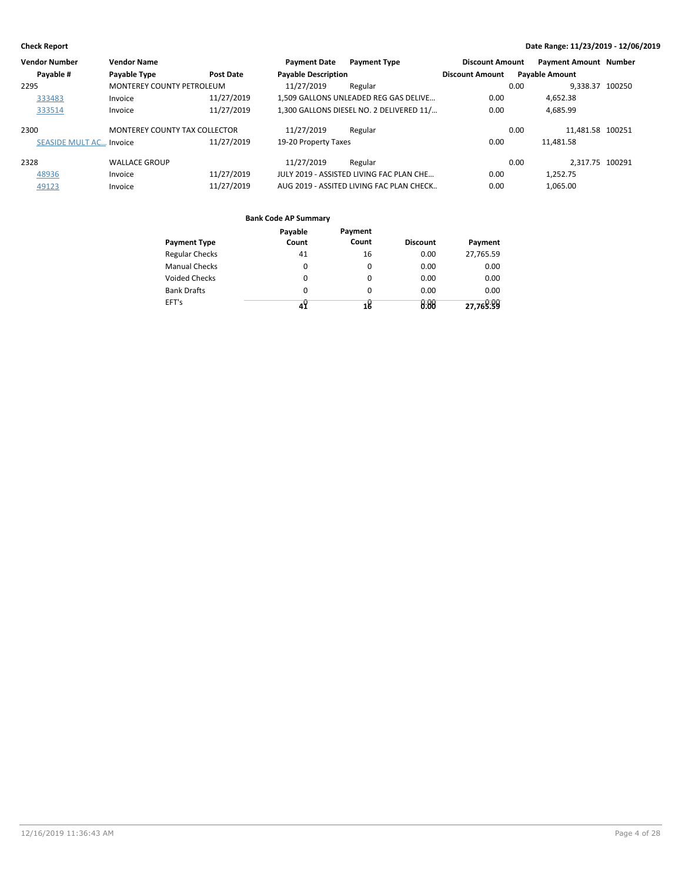| <b>Vendor Number</b>    | <b>Vendor Name</b>               |                  | <b>Payment Date</b><br><b>Payment Type</b> | <b>Discount Amount</b> | <b>Payment Amount Number</b> |
|-------------------------|----------------------------------|------------------|--------------------------------------------|------------------------|------------------------------|
| Payable #               | Payable Type                     | <b>Post Date</b> | <b>Payable Description</b>                 | <b>Discount Amount</b> | <b>Payable Amount</b>        |
| 2295                    | <b>MONTEREY COUNTY PETROLEUM</b> |                  | 11/27/2019<br>Regular                      | 0.00                   | 9.338.37 100250              |
| 333483                  | Invoice                          | 11/27/2019       | 1,509 GALLONS UNLEADED REG GAS DELIVE      | 0.00                   | 4.652.38                     |
| 333514                  | Invoice                          | 11/27/2019       | 1,300 GALLONS DIESEL NO. 2 DELIVERED 11/   | 0.00                   | 4.685.99                     |
| 2300                    | MONTEREY COUNTY TAX COLLECTOR    |                  | 11/27/2019<br>Regular                      | 0.00                   | 11.481.58 100251             |
| SEASIDE MULT AC Invoice |                                  | 11/27/2019       | 19-20 Property Taxes                       | 0.00                   | 11.481.58                    |
| 2328                    | <b>WALLACE GROUP</b>             |                  | 11/27/2019<br>Regular                      | 0.00                   | 2.317.75 100291              |
| 48936                   | Invoice                          | 11/27/2019       | JULY 2019 - ASSISTED LIVING FAC PLAN CHE   | 0.00                   | 1.252.75                     |
| 49123                   | Invoice                          | 11/27/2019       | AUG 2019 - ASSITED LIVING FAC PLAN CHECK   | 0.00                   | 1.065.00                     |

| <b>Payment Type</b>   | Payable<br>Count | Payment<br>Count | <b>Discount</b> | Payment   |
|-----------------------|------------------|------------------|-----------------|-----------|
| <b>Regular Checks</b> | 41               | 16               | 0.00            | 27,765.59 |
| <b>Manual Checks</b>  | $\Omega$         | $\Omega$         | 0.00            | 0.00      |
| <b>Voided Checks</b>  | $\Omega$         | $\Omega$         | 0.00            | 0.00      |
| <b>Bank Drafts</b>    | 0                | $\Omega$         | 0.00            | 0.00      |
| EFT's                 | 4У               | 18               | 0.00            | 27,769.99 |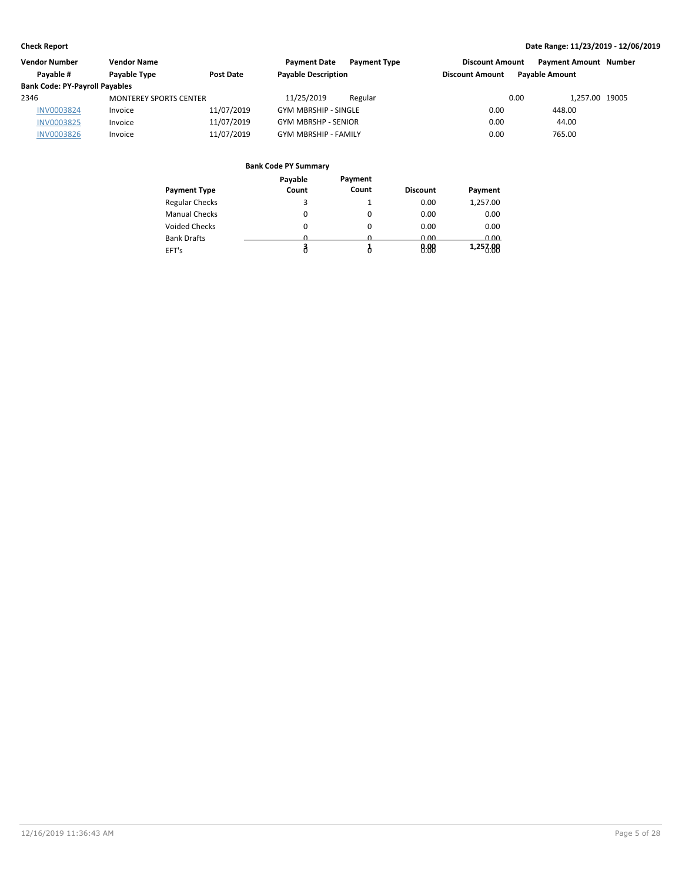| Vendor Number                         | <b>Vendor Name</b>            |                  | <b>Payment Date</b><br><b>Payment Type</b> | <b>Discount Amount</b> | <b>Payment Amount Number</b> |  |
|---------------------------------------|-------------------------------|------------------|--------------------------------------------|------------------------|------------------------------|--|
| Pavable #                             | Payable Type                  | <b>Post Date</b> | <b>Payable Description</b>                 | <b>Discount Amount</b> | <b>Payable Amount</b>        |  |
| <b>Bank Code: PY-Payroll Payables</b> |                               |                  |                                            |                        |                              |  |
| 2346                                  | <b>MONTEREY SPORTS CENTER</b> |                  | 11/25/2019<br>Regular                      | 0.00                   | 1.257.00 19005               |  |
| <b>INV0003824</b>                     | Invoice                       | 11/07/2019       | <b>GYM MBRSHIP - SINGLE</b>                | 0.00                   | 448.00                       |  |
| <b>INV0003825</b>                     | Invoice                       | 11/07/2019       | <b>GYM MBRSHP - SENIOR</b>                 | 0.00                   | 44.00                        |  |
| <b>INV0003826</b>                     | Invoice                       | 11/07/2019       | <b>GYM MBRSHIP - FAMILY</b>                | 0.00                   | 765.00                       |  |

|                       | Payable  | Payment |                 |          |
|-----------------------|----------|---------|-----------------|----------|
| <b>Payment Type</b>   | Count    | Count   | <b>Discount</b> | Payment  |
| <b>Regular Checks</b> | 3        |         | 0.00            | 1,257.00 |
| <b>Manual Checks</b>  | 0        | 0       | 0.00            | 0.00     |
| <b>Voided Checks</b>  | $\Omega$ | 0       | 0.00            | 0.00     |
| <b>Bank Drafts</b>    | n        | n       | 0.00            | 0.00     |
| EFT's                 |          |         | 0.88            | 1,257.88 |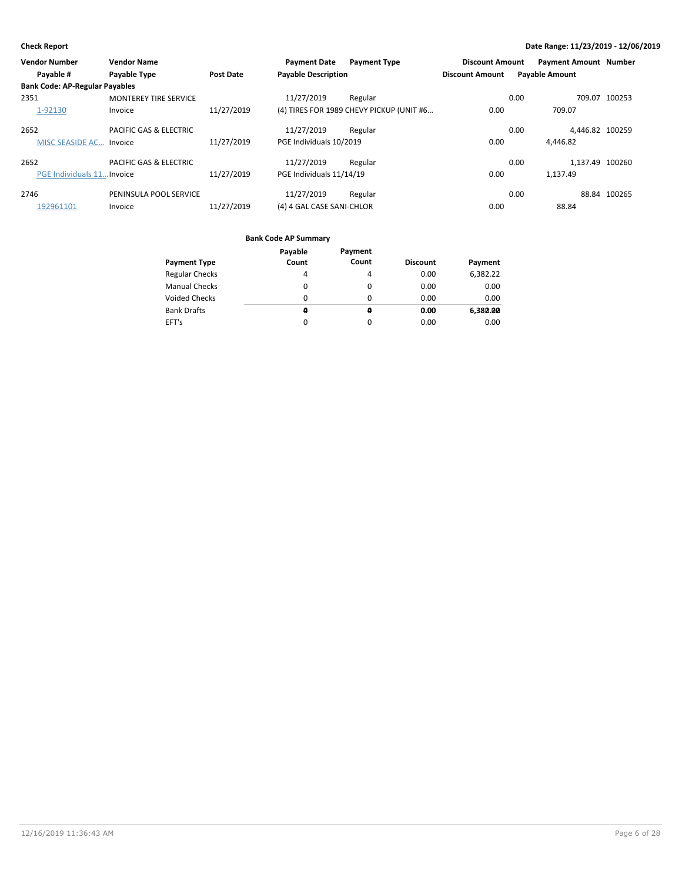| <b>Vendor Number</b>                  | <b>Vendor Name</b>                |                  | <b>Payment Date</b>        | <b>Payment Type</b>                      | <b>Discount Amount</b> | <b>Payment Amount Number</b> |                 |
|---------------------------------------|-----------------------------------|------------------|----------------------------|------------------------------------------|------------------------|------------------------------|-----------------|
| Payable #                             | Payable Type                      | <b>Post Date</b> | <b>Payable Description</b> |                                          | <b>Discount Amount</b> | <b>Payable Amount</b>        |                 |
| <b>Bank Code: AP-Regular Payables</b> |                                   |                  |                            |                                          |                        |                              |                 |
| 2351                                  | <b>MONTEREY TIRE SERVICE</b>      |                  | 11/27/2019                 | Regular                                  |                        | 0.00                         | 709.07 100253   |
| 1-92130                               | Invoice                           | 11/27/2019       |                            | (4) TIRES FOR 1989 CHEVY PICKUP (UNIT #6 | 0.00                   | 709.07                       |                 |
| 2652                                  | <b>PACIFIC GAS &amp; ELECTRIC</b> |                  | 11/27/2019                 | Regular                                  |                        | 0.00                         | 4.446.82 100259 |
| MISC SEASIDE AC Invoice               |                                   | 11/27/2019       | PGE Individuals 10/2019    |                                          | 0.00                   | 4.446.82                     |                 |
| 2652                                  | <b>PACIFIC GAS &amp; ELECTRIC</b> |                  | 11/27/2019                 | Regular                                  |                        | 0.00                         | 1.137.49 100260 |
| PGE Individuals 11 Invoice            |                                   | 11/27/2019       | PGE Individuals 11/14/19   |                                          | 0.00                   | 1.137.49                     |                 |
| 2746                                  | PENINSULA POOL SERVICE            |                  | 11/27/2019                 | Regular                                  |                        | 0.00                         | 88.84 100265    |
| 192961101                             | Invoice                           | 11/27/2019       | (4) 4 GAL CASE SANI-CHLOR  |                                          | 0.00                   | 88.84                        |                 |

|                       | Payable | Payment |                 |          |
|-----------------------|---------|---------|-----------------|----------|
| <b>Payment Type</b>   | Count   | Count   | <b>Discount</b> | Payment  |
| <b>Regular Checks</b> | 4       | 4       | 0.00            | 6,382.22 |
| <b>Manual Checks</b>  | 0       | 0       | 0.00            | 0.00     |
| <b>Voided Checks</b>  | 0       | 0       | 0.00            | 0.00     |
| <b>Bank Drafts</b>    | a       | a       | 0.00            | 6,380.00 |
| EFT's                 | 0       | 0       | 0.00            | 0.00     |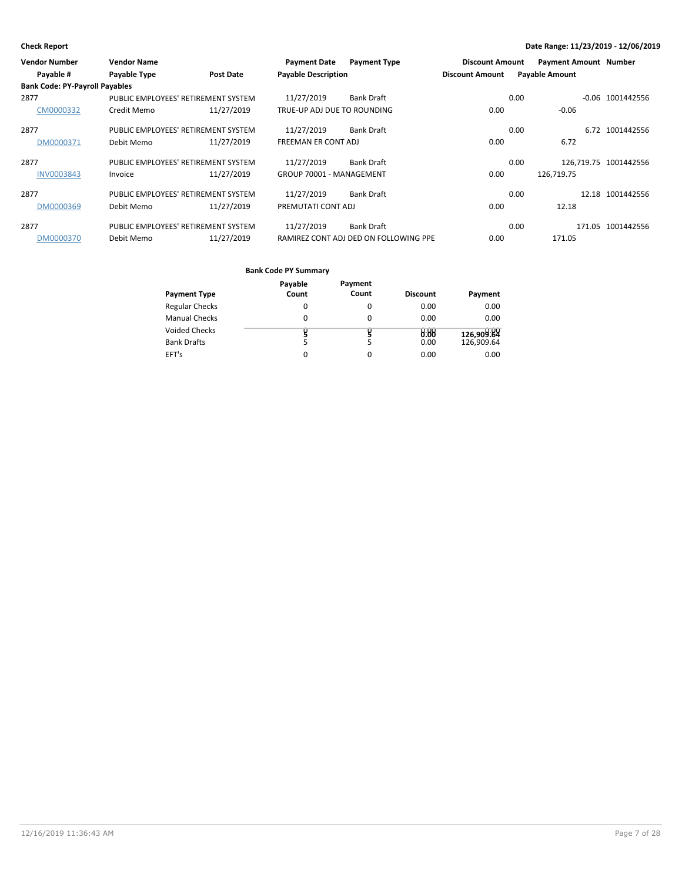| <b>Vendor Number</b>                  | <b>Vendor Name</b>                  |                  | <b>Payment Date</b>         | <b>Payment Type</b>                   | <b>Discount Amount</b> |      | <b>Payment Amount Number</b> |                       |
|---------------------------------------|-------------------------------------|------------------|-----------------------------|---------------------------------------|------------------------|------|------------------------------|-----------------------|
| Payable #                             | Payable Type                        | <b>Post Date</b> | <b>Payable Description</b>  |                                       | <b>Discount Amount</b> |      | <b>Payable Amount</b>        |                       |
| <b>Bank Code: PY-Payroll Payables</b> |                                     |                  |                             |                                       |                        |      |                              |                       |
| 2877                                  | PUBLIC EMPLOYEES' RETIREMENT SYSTEM |                  | 11/27/2019                  | <b>Bank Draft</b>                     |                        | 0.00 |                              | $-0.06$ 1001442556    |
| CM0000332                             | Credit Memo                         | 11/27/2019       | TRUE-UP ADJ DUE TO ROUNDING |                                       | 0.00                   |      | $-0.06$                      |                       |
| 2877                                  | PUBLIC EMPLOYEES' RETIREMENT SYSTEM |                  | 11/27/2019                  | <b>Bank Draft</b>                     |                        | 0.00 |                              | 6.72 1001442556       |
| DM0000371                             | Debit Memo                          | 11/27/2019       | <b>FREEMAN ER CONT ADJ</b>  |                                       | 0.00                   |      | 6.72                         |                       |
| 2877                                  | PUBLIC EMPLOYEES' RETIREMENT SYSTEM |                  | 11/27/2019                  | <b>Bank Draft</b>                     |                        | 0.00 |                              | 126,719.75 1001442556 |
| <b>INV0003843</b>                     | Invoice                             | 11/27/2019       | GROUP 70001 - MANAGEMENT    |                                       | 0.00                   |      | 126,719.75                   |                       |
| 2877                                  | PUBLIC EMPLOYEES' RETIREMENT SYSTEM |                  | 11/27/2019                  | <b>Bank Draft</b>                     |                        | 0.00 |                              | 12.18 1001442556      |
| DM0000369                             | Debit Memo                          | 11/27/2019       | PREMUTATI CONT ADJ          |                                       | 0.00                   |      | 12.18                        |                       |
| 2877                                  | PUBLIC EMPLOYEES' RETIREMENT SYSTEM |                  | 11/27/2019                  | <b>Bank Draft</b>                     |                        | 0.00 |                              | 171.05 1001442556     |
| DM0000370                             | Debit Memo                          | 11/27/2019       |                             | RAMIREZ CONT ADJ DED ON FOLLOWING PPE | 0.00                   |      | 171.05                       |                       |

|                       | Payable | Payment |                 |            |
|-----------------------|---------|---------|-----------------|------------|
| <b>Payment Type</b>   | Count   | Count   | <b>Discount</b> | Payment    |
| <b>Regular Checks</b> | 0       | 0       | 0.00            | 0.00       |
| <b>Manual Checks</b>  | 0       | 0       | 0.00            | 0.00       |
| <b>Voided Checks</b>  |         |         | 0.88            | 126,909.84 |
| <b>Bank Drafts</b>    | 5       | 5       | 0.00            | 126,909.64 |
| EFT's                 | 0       | 0       | 0.00            | 0.00       |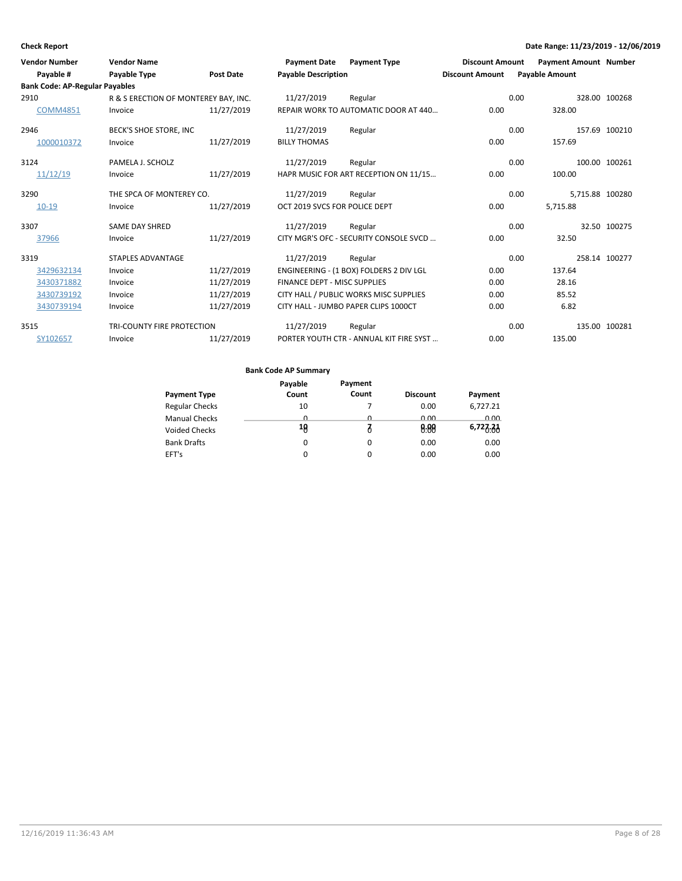| <b>Vendor Number</b><br>Payable #     | <b>Vendor Name</b><br><b>Payable Type</b> | <b>Post Date</b> | <b>Payment Date</b><br><b>Payable Description</b> | <b>Payment Type</b>                     | <b>Discount Amount</b><br><b>Discount Amount</b> | <b>Payable Amount</b> | <b>Payment Amount Number</b> |               |
|---------------------------------------|-------------------------------------------|------------------|---------------------------------------------------|-----------------------------------------|--------------------------------------------------|-----------------------|------------------------------|---------------|
| <b>Bank Code: AP-Regular Payables</b> |                                           |                  |                                                   |                                         |                                                  |                       |                              |               |
| 2910                                  | R & S ERECTION OF MONTEREY BAY, INC.      |                  | 11/27/2019                                        | Regular                                 |                                                  | 0.00                  |                              | 328.00 100268 |
| <b>COMM4851</b>                       | Invoice                                   | 11/27/2019       |                                                   | REPAIR WORK TO AUTOMATIC DOOR AT 440    | 0.00                                             |                       | 328.00                       |               |
| 2946                                  | BECK'S SHOE STORE, INC                    |                  | 11/27/2019                                        | Regular                                 |                                                  | 0.00                  |                              | 157.69 100210 |
| 1000010372                            | Invoice                                   | 11/27/2019       | <b>BILLY THOMAS</b>                               |                                         | 0.00                                             |                       | 157.69                       |               |
| 3124                                  | PAMELA J. SCHOLZ                          |                  | 11/27/2019                                        | Regular                                 |                                                  | 0.00                  |                              | 100.00 100261 |
| 11/12/19                              | Invoice                                   | 11/27/2019       |                                                   | HAPR MUSIC FOR ART RECEPTION ON 11/15   | 0.00                                             |                       | 100.00                       |               |
| 3290                                  | THE SPCA OF MONTEREY CO.                  |                  | 11/27/2019                                        | Regular                                 |                                                  | 0.00                  | 5,715.88 100280              |               |
| $10 - 19$                             | Invoice                                   | 11/27/2019       | OCT 2019 SVCS FOR POLICE DEPT                     |                                         | 0.00                                             |                       | 5,715.88                     |               |
| 3307                                  | SAME DAY SHRED                            |                  | 11/27/2019                                        | Regular                                 |                                                  | 0.00                  |                              | 32.50 100275  |
| 37966                                 | Invoice                                   | 11/27/2019       |                                                   | CITY MGR'S OFC - SECURITY CONSOLE SVCD  | 0.00                                             |                       | 32.50                        |               |
| 3319                                  | <b>STAPLES ADVANTAGE</b>                  |                  | 11/27/2019                                        | Regular                                 |                                                  | 0.00                  |                              | 258.14 100277 |
| 3429632134                            | Invoice                                   | 11/27/2019       |                                                   | ENGINEERING - (1 BOX) FOLDERS 2 DIV LGL | 0.00                                             |                       | 137.64                       |               |
| 3430371882                            | Invoice                                   | 11/27/2019       | FINANCE DEPT - MISC SUPPLIES                      |                                         | 0.00                                             |                       | 28.16                        |               |
| 3430739192                            | Invoice                                   | 11/27/2019       |                                                   | CITY HALL / PUBLIC WORKS MISC SUPPLIES  | 0.00                                             |                       | 85.52                        |               |
| 3430739194                            | Invoice                                   | 11/27/2019       |                                                   | CITY HALL - JUMBO PAPER CLIPS 1000CT    | 0.00                                             |                       | 6.82                         |               |
| 3515                                  | TRI-COUNTY FIRE PROTECTION                |                  | 11/27/2019                                        | Regular                                 |                                                  | 0.00                  |                              | 135.00 100281 |
| SY102657                              | Invoice                                   | 11/27/2019       |                                                   | PORTER YOUTH CTR - ANNUAL KIT FIRE SYST | 0.00                                             |                       | 135.00                       |               |

|                       | Payable | Payment      |                 |          |
|-----------------------|---------|--------------|-----------------|----------|
| <b>Payment Type</b>   | Count   | Count        | <b>Discount</b> | Payment  |
| <b>Regular Checks</b> | 10      |              | 0.00            | 6,727.21 |
| <b>Manual Checks</b>  | n       | <sup>n</sup> | 0.00            | 0.00     |
| <b>Voided Checks</b>  | 18      |              | 0.88            | 6,727.21 |
| <b>Bank Drafts</b>    | 0       | 0            | 0.00            | 0.00     |
| EFT's                 |         | 0            | 0.00            | 0.00     |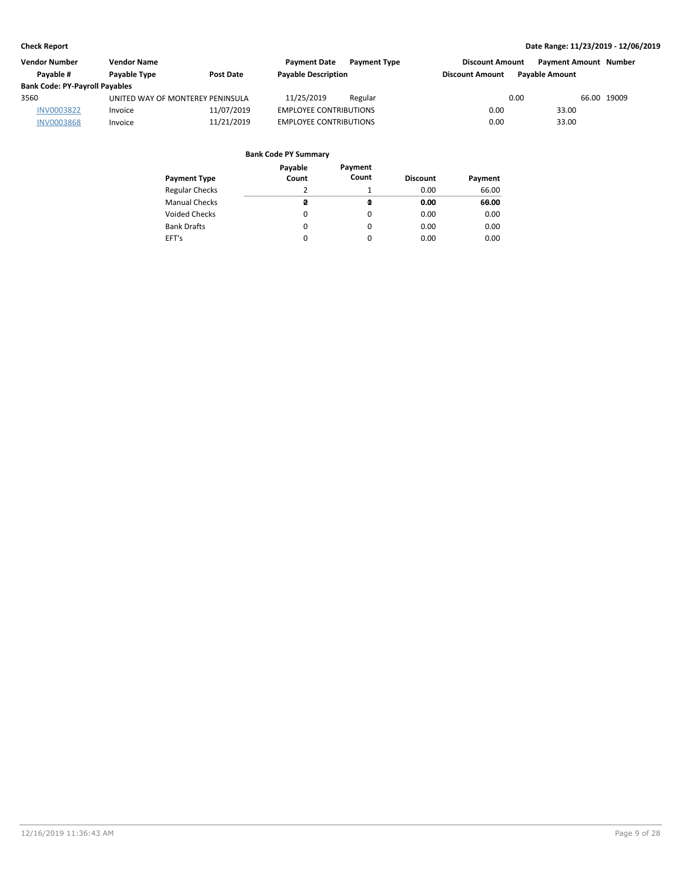| <b>Vendor Number</b>                  | <b>Vendor Name</b>               |                  | <b>Payment Date</b>           | <b>Payment Type</b> | <b>Discount Amount</b> |                       | <b>Payment Amount Number</b> |
|---------------------------------------|----------------------------------|------------------|-------------------------------|---------------------|------------------------|-----------------------|------------------------------|
| Pavable #                             | Payable Type                     | <b>Post Date</b> | <b>Payable Description</b>    |                     | <b>Discount Amount</b> | <b>Pavable Amount</b> |                              |
| <b>Bank Code: PY-Payroll Payables</b> |                                  |                  |                               |                     |                        |                       |                              |
| 3560                                  | UNITED WAY OF MONTEREY PENINSULA |                  | 11/25/2019                    | Regular             |                        | 0.00                  | 66.00 19009                  |
| <b>INV0003822</b>                     | Invoice                          | 11/07/2019       | <b>EMPLOYEE CONTRIBUTIONS</b> |                     | 0.00                   | 33.00                 |                              |
| <b>INV0003868</b>                     | Invoice                          | 11/21/2019       | <b>EMPLOYEE CONTRIBUTIONS</b> |                     | 0.00                   | 33.00                 |                              |

| Payment Type          | Payable<br>Count | Payment<br>Count | <b>Discount</b> | Payment |
|-----------------------|------------------|------------------|-----------------|---------|
| <b>Regular Checks</b> | 2                |                  | 0.00            | 66.00   |
| <b>Manual Checks</b>  | ø                | Q                | 0.00            | 60.00   |
| Voided Checks         | 0                | 0                | 0.00            | 0.00    |
| <b>Bank Drafts</b>    | 0                | 0                | 0.00            | 0.00    |
| EFT's                 | 0                | 0                | 0.00            | 0.00    |
|                       |                  |                  |                 |         |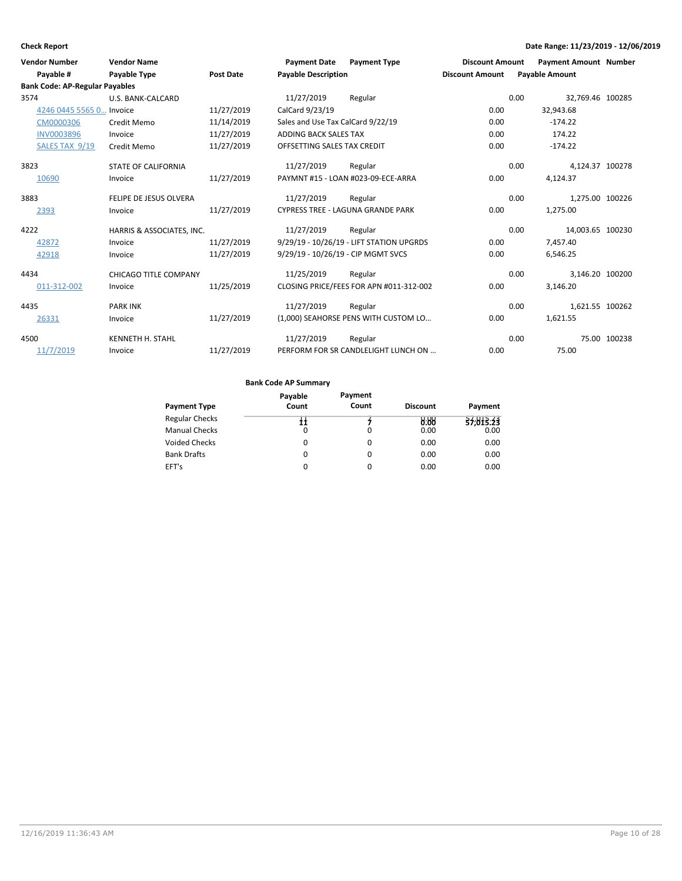| <b>Vendor Number</b><br>Payable #     | <b>Vendor Name</b><br><b>Payable Type</b> | <b>Post Date</b> | <b>Payment Date</b><br><b>Payable Description</b> | <b>Payment Type</b>                      | <b>Discount Amount</b><br><b>Discount Amount</b> | <b>Payment Amount Number</b><br><b>Payable Amount</b> |              |
|---------------------------------------|-------------------------------------------|------------------|---------------------------------------------------|------------------------------------------|--------------------------------------------------|-------------------------------------------------------|--------------|
| <b>Bank Code: AP-Regular Payables</b> |                                           |                  |                                                   |                                          |                                                  |                                                       |              |
| 3574                                  | U.S. BANK-CALCARD                         |                  | 11/27/2019                                        | Regular                                  |                                                  | 0.00<br>32,769.46 100285                              |              |
| 4246 0445 5565 0 Invoice              |                                           | 11/27/2019       | CalCard 9/23/19                                   |                                          | 0.00                                             | 32,943.68                                             |              |
| CM0000306                             | Credit Memo                               | 11/14/2019       | Sales and Use Tax CalCard 9/22/19                 |                                          | 0.00                                             | $-174.22$                                             |              |
| <b>INV0003896</b>                     | Invoice                                   | 11/27/2019       | ADDING BACK SALES TAX                             |                                          | 0.00                                             | 174.22                                                |              |
| SALES TAX 9/19                        | Credit Memo                               | 11/27/2019       | OFFSETTING SALES TAX CREDIT                       |                                          | 0.00                                             | $-174.22$                                             |              |
| 3823                                  | <b>STATE OF CALIFORNIA</b>                |                  | 11/27/2019                                        | Regular                                  |                                                  | 0.00<br>4,124.37 100278                               |              |
| 10690                                 | Invoice                                   | 11/27/2019       |                                                   | PAYMNT #15 - LOAN #023-09-ECE-ARRA       | 0.00                                             | 4,124.37                                              |              |
| 3883                                  | FELIPE DE JESUS OLVERA                    |                  | 11/27/2019                                        | Regular                                  |                                                  | 0.00<br>1,275.00 100226                               |              |
| 2393                                  | Invoice                                   | 11/27/2019       |                                                   | <b>CYPRESS TREE - LAGUNA GRANDE PARK</b> | 0.00                                             | 1,275.00                                              |              |
| 4222                                  | HARRIS & ASSOCIATES, INC.                 |                  | 11/27/2019                                        | Regular                                  |                                                  | 0.00<br>14,003.65 100230                              |              |
| 42872                                 | Invoice                                   | 11/27/2019       |                                                   | 9/29/19 - 10/26/19 - LIFT STATION UPGRDS | 0.00                                             | 7,457.40                                              |              |
| 42918                                 | Invoice                                   | 11/27/2019       | 9/29/19 - 10/26/19 - CIP MGMT SVCS                |                                          | 0.00                                             | 6,546.25                                              |              |
| 4434                                  | <b>CHICAGO TITLE COMPANY</b>              |                  | 11/25/2019                                        | Regular                                  |                                                  | 0.00<br>3,146.20 100200                               |              |
| 011-312-002                           | Invoice                                   | 11/25/2019       |                                                   | CLOSING PRICE/FEES FOR APN #011-312-002  | 0.00                                             | 3,146.20                                              |              |
| 4435                                  | <b>PARK INK</b>                           |                  | 11/27/2019                                        | Regular                                  |                                                  | 1,621.55 100262<br>0.00                               |              |
| 26331                                 | Invoice                                   | 11/27/2019       |                                                   | (1,000) SEAHORSE PENS WITH CUSTOM LO     | 0.00                                             | 1,621.55                                              |              |
| 4500                                  | <b>KENNETH H. STAHL</b>                   |                  | 11/27/2019                                        | Regular                                  |                                                  | 0.00                                                  | 75.00 100238 |
| 11/7/2019                             | Invoice                                   | 11/27/2019       |                                                   | PERFORM FOR SR CANDLELIGHT LUNCH ON      | 0.00                                             | 75.00                                                 |              |

|                       | Payable | Payment  |                 |           |
|-----------------------|---------|----------|-----------------|-----------|
| <b>Payment Type</b>   | Count   | Count    | <b>Discount</b> | Payment   |
| <b>Regular Checks</b> | łł      |          | 0.88            | 37,813.23 |
| <b>Manual Checks</b>  | 0       | 0        | 0.00            | 0.00      |
| <b>Voided Checks</b>  | 0       | $\Omega$ | 0.00            | 0.00      |
| <b>Bank Drafts</b>    | 0       | $\Omega$ | 0.00            | 0.00      |
| EFT's                 | 0       | $\Omega$ | 0.00            | 0.00      |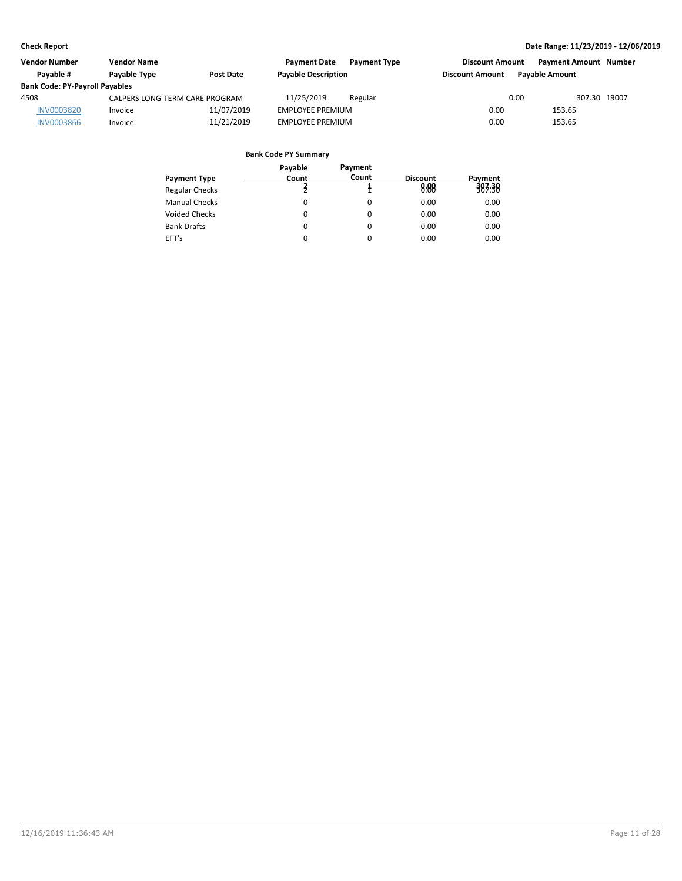| <b>Vendor Number</b>                  | <b>Vendor Name</b>             |                  | <b>Payment Date</b>        | <b>Payment Type</b> | <b>Discount Amount</b> |                       | <b>Payment Amount Number</b> |
|---------------------------------------|--------------------------------|------------------|----------------------------|---------------------|------------------------|-----------------------|------------------------------|
| Pavable #                             | Payable Type                   | <b>Post Date</b> | <b>Payable Description</b> |                     | <b>Discount Amount</b> | <b>Pavable Amount</b> |                              |
| <b>Bank Code: PY-Payroll Payables</b> |                                |                  |                            |                     |                        |                       |                              |
| 4508                                  | CALPERS LONG-TERM CARE PROGRAM |                  | 11/25/2019                 | Regular             |                        | 0.00                  | 307.30 19007                 |
| <b>INV0003820</b>                     | Invoice                        | 11/07/2019       | <b>EMPLOYEE PREMIUM</b>    |                     | 0.00                   | 153.65                |                              |
| <b>INV0003866</b>                     | Invoice                        | 11/21/2019       | <b>EMPLOYEE PREMIUM</b>    |                     | 0.00                   | 153.65                |                              |

|                       | Payable | Payment |          |         |
|-----------------------|---------|---------|----------|---------|
| <b>Payment Type</b>   | Count   | Count   | Discount | Payment |
| <b>Regular Checks</b> |         |         | 0.88     | 387.38  |
| <b>Manual Checks</b>  | 0       | 0       | 0.00     | 0.00    |
| Voided Checks         | 0       | 0       | 0.00     | 0.00    |
| <b>Bank Drafts</b>    | 0       | 0       | 0.00     | 0.00    |
| EFT's                 | 0       | 0       | 0.00     | 0.00    |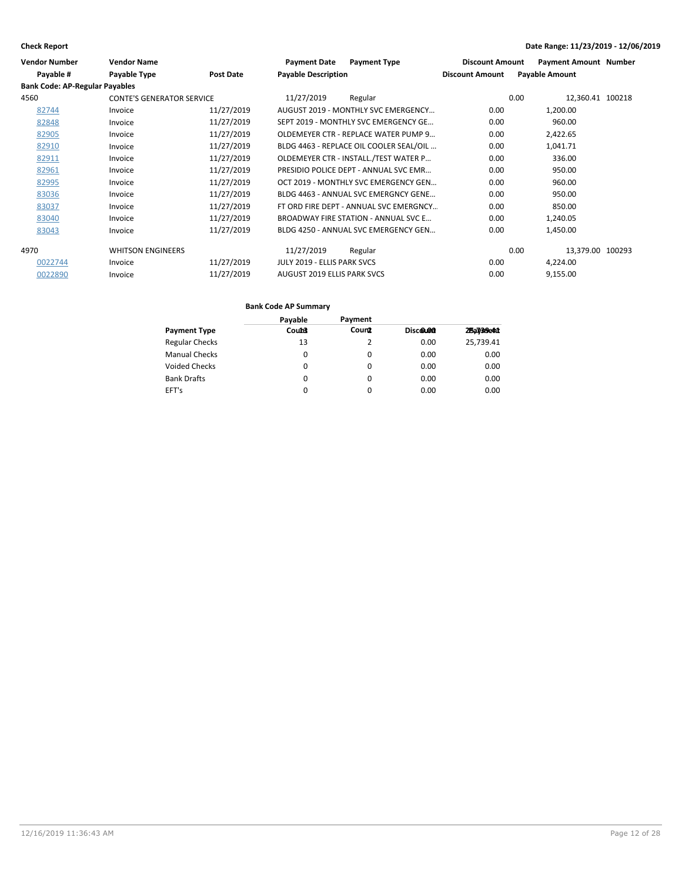| <b>Vendor Number</b>                  | <b>Vendor Name</b>               |                  | <b>Payment Type</b><br><b>Payment Date</b> | <b>Discount Amount</b> | <b>Payment Amount Number</b> |
|---------------------------------------|----------------------------------|------------------|--------------------------------------------|------------------------|------------------------------|
| Payable #                             | <b>Payable Type</b>              | <b>Post Date</b> | <b>Payable Description</b>                 | <b>Discount Amount</b> | <b>Payable Amount</b>        |
| <b>Bank Code: AP-Regular Payables</b> |                                  |                  |                                            |                        |                              |
| 4560                                  | <b>CONTE'S GENERATOR SERVICE</b> |                  | 11/27/2019<br>Regular                      | 0.00                   | 12,360.41 100218             |
| 82744                                 | Invoice                          | 11/27/2019       | AUGUST 2019 - MONTHLY SVC EMERGENCY        | 0.00                   | 1,200.00                     |
| 82848                                 | Invoice                          | 11/27/2019       | SEPT 2019 - MONTHLY SVC EMERGENCY GE       | 0.00                   | 960.00                       |
| 82905                                 | Invoice                          | 11/27/2019       | OLDEMEYER CTR - REPLACE WATER PUMP 9       | 0.00                   | 2,422.65                     |
| 82910                                 | Invoice                          | 11/27/2019       | BLDG 4463 - REPLACE OIL COOLER SEAL/OIL    | 0.00                   | 1,041.71                     |
| 82911                                 | Invoice                          | 11/27/2019       | OLDEMEYER CTR - INSTALL./TEST WATER P      | 0.00                   | 336.00                       |
| 82961                                 | Invoice                          | 11/27/2019       | PRESIDIO POLICE DEPT - ANNUAL SVC EMR      | 0.00                   | 950.00                       |
| 82995                                 | Invoice                          | 11/27/2019       | OCT 2019 - MONTHLY SVC EMERGENCY GEN       | 0.00                   | 960.00                       |
| 83036                                 | Invoice                          | 11/27/2019       | BLDG 4463 - ANNUAL SVC EMERGNCY GENE       | 0.00                   | 950.00                       |
| 83037                                 | Invoice                          | 11/27/2019       | FT ORD FIRE DEPT - ANNUAL SVC EMERGNCY     | 0.00                   | 850.00                       |
| 83040                                 | Invoice                          | 11/27/2019       | BROADWAY FIRE STATION - ANNUAL SVC E       | 0.00                   | 1,240.05                     |
| 83043                                 | Invoice                          | 11/27/2019       | BLDG 4250 - ANNUAL SVC EMERGENCY GEN       | 0.00                   | 1,450.00                     |
| 4970                                  | <b>WHITSON ENGINEERS</b>         |                  | 11/27/2019<br>Regular                      | 0.00                   | 13,379.00 100293             |
| 0022744                               | Invoice                          | 11/27/2019       | JULY 2019 - ELLIS PARK SVCS                | 0.00                   | 4,224.00                     |
| 0022890                               | Invoice                          | 11/27/2019       | AUGUST 2019 ELLIS PARK SVCS                | 0.00                   | 9,155.00                     |

|                       | Payable      | Payment  |          |            |
|-----------------------|--------------|----------|----------|------------|
| <b>Payment Type</b>   | <b>Count</b> | Count    | Discolon | 25a7/39e41 |
| <b>Regular Checks</b> | 13           |          | 0.00     | 25,739.41  |
| <b>Manual Checks</b>  | 0            | 0        | 0.00     | 0.00       |
| <b>Voided Checks</b>  | 0            | 0        | 0.00     | 0.00       |
| <b>Bank Drafts</b>    | 0            | $\Omega$ | 0.00     | 0.00       |
| EFT's                 | 0            | 0        | 0.00     | 0.00       |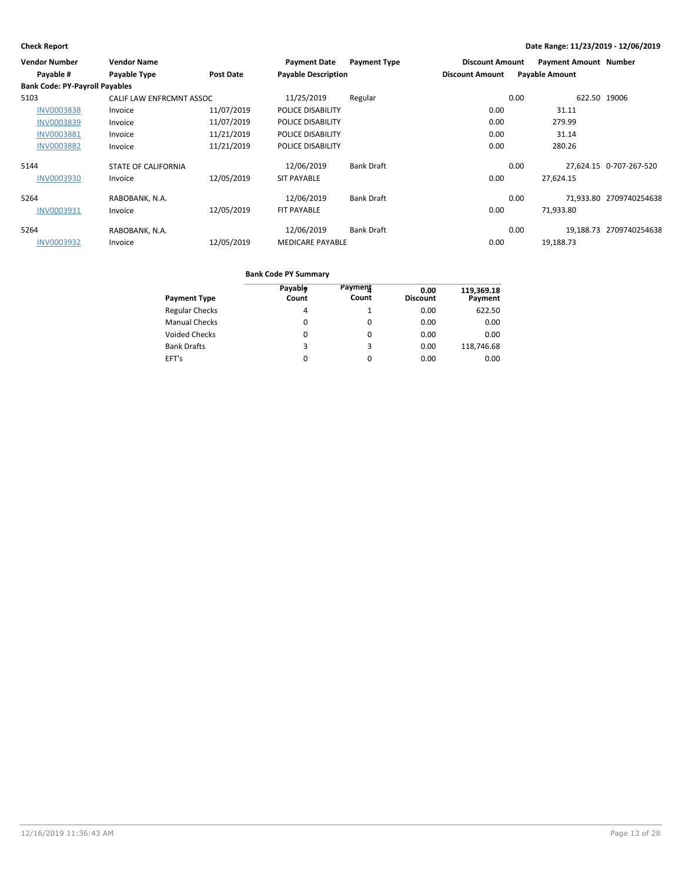| <b>Vendor Number</b>                  | <b>Vendor Name</b>         |            | <b>Payment Date</b>        | <b>Payment Type</b> | <b>Discount Amount</b> |      | <b>Payment Amount Number</b> |                         |
|---------------------------------------|----------------------------|------------|----------------------------|---------------------|------------------------|------|------------------------------|-------------------------|
| Payable #                             | Payable Type               | Post Date  | <b>Payable Description</b> |                     | <b>Discount Amount</b> |      | <b>Payable Amount</b>        |                         |
| <b>Bank Code: PY-Payroll Payables</b> |                            |            |                            |                     |                        |      |                              |                         |
| 5103                                  | CALIF LAW ENFRCMNT ASSOC   |            | 11/25/2019                 | Regular             |                        | 0.00 | 622.50 19006                 |                         |
| <b>INV0003838</b>                     | Invoice                    | 11/07/2019 | POLICE DISABILITY          |                     | 0.00                   |      | 31.11                        |                         |
| INV0003839                            | Invoice                    | 11/07/2019 | POLICE DISABILITY          |                     | 0.00                   |      | 279.99                       |                         |
| <b>INV0003881</b>                     | Invoice                    | 11/21/2019 | POLICE DISABILITY          |                     | 0.00                   |      | 31.14                        |                         |
| <b>INV0003882</b>                     | Invoice                    | 11/21/2019 | POLICE DISABILITY          |                     | 0.00                   |      | 280.26                       |                         |
| 5144                                  | <b>STATE OF CALIFORNIA</b> |            | 12/06/2019                 | <b>Bank Draft</b>   |                        | 0.00 |                              | 27,624.15 0-707-267-520 |
| <b>INV0003930</b>                     | Invoice                    | 12/05/2019 | <b>SIT PAYABLE</b>         |                     | 0.00                   |      | 27,624.15                    |                         |
| 5264                                  | RABOBANK, N.A.             |            | 12/06/2019                 | <b>Bank Draft</b>   |                        | 0.00 |                              | 71,933.80 2709740254638 |
| <b>INV0003931</b>                     | Invoice                    | 12/05/2019 | FIT PAYABLE                |                     | 0.00                   |      | 71,933.80                    |                         |
| 5264                                  | RABOBANK, N.A.             |            | 12/06/2019                 | <b>Bank Draft</b>   |                        | 0.00 |                              | 19,188.73 2709740254638 |
| <b>INV0003932</b>                     | Invoice                    | 12/05/2019 | <b>MEDICARE PAYABLE</b>    |                     | 0.00                   |      | 19.188.73                    |                         |

| <b>Payment Type</b>   | Payable<br>Count | Payment<br>Count | 0.00<br><b>Discount</b> | 119,369.18<br>Payment |
|-----------------------|------------------|------------------|-------------------------|-----------------------|
| <b>Regular Checks</b> | 4                |                  | 0.00                    | 622.50                |
| <b>Manual Checks</b>  | 0                | 0                | 0.00                    | 0.00                  |
| Voided Checks         | 0                | 0                | 0.00                    | 0.00                  |
| <b>Bank Drafts</b>    | 3                | 3                | 0.00                    | 118,746.68            |
| EFT's                 | 0                | $\Omega$         | 0.00                    | 0.00                  |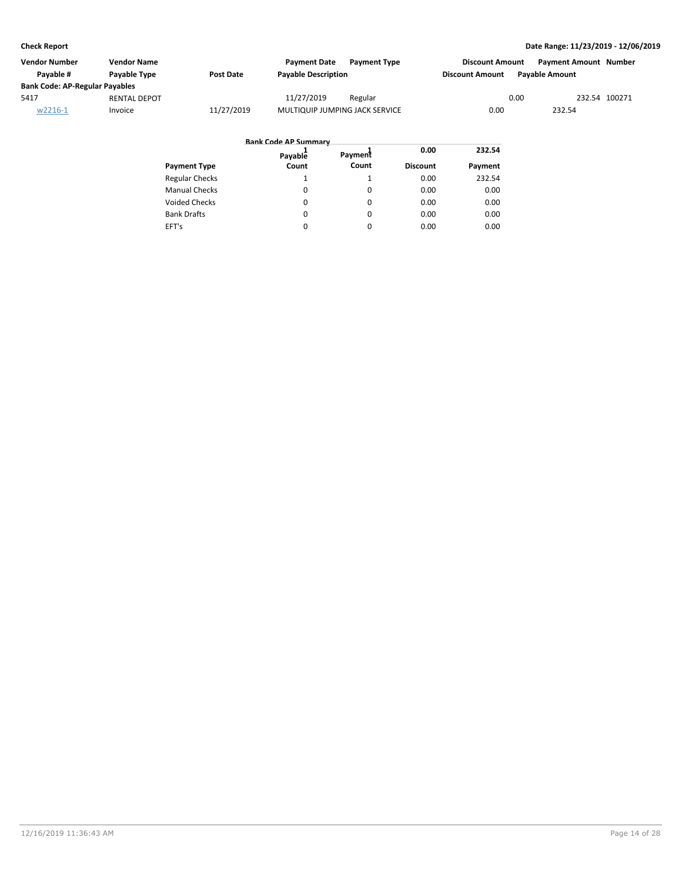| <b>Vendor Number</b>                  | <b>Vendor Name</b>  |                  | <b>Payment Date</b>            | <b>Payment Type</b> | <b>Discount Amount</b> | <b>Payment Amount Number</b> |               |
|---------------------------------------|---------------------|------------------|--------------------------------|---------------------|------------------------|------------------------------|---------------|
| Pavable #                             | Payable Type        | <b>Post Date</b> | <b>Payable Description</b>     |                     | <b>Discount Amount</b> | <b>Pavable Amount</b>        |               |
| <b>Bank Code: AP-Regular Payables</b> |                     |                  |                                |                     |                        |                              |               |
| 5417                                  | <b>RENTAL DEPOT</b> |                  | 11/27/2019                     | Regular             |                        | 0.00                         | 232.54 100271 |
| w2216-1                               | Invoice             | 11/27/2019       | MULTIQUIP JUMPING JACK SERVICE |                     | 0.00                   | 232.54                       |               |

|                       | <b>Bank Code AP Summary</b> |          |                 |         |
|-----------------------|-----------------------------|----------|-----------------|---------|
|                       | Payable                     | Payment  | 0.00            | 232.54  |
| <b>Payment Type</b>   | Count                       | Count    | <b>Discount</b> | Payment |
| <b>Regular Checks</b> |                             |          | 0.00            | 232.54  |
| <b>Manual Checks</b>  | $\Omega$                    | $\Omega$ | 0.00            | 0.00    |
| <b>Voided Checks</b>  | 0                           | $\Omega$ | 0.00            | 0.00    |
| <b>Bank Drafts</b>    | 0                           | $\Omega$ | 0.00            | 0.00    |
| EFT's                 | 0                           | $\Omega$ | 0.00            | 0.00    |
|                       |                             |          |                 |         |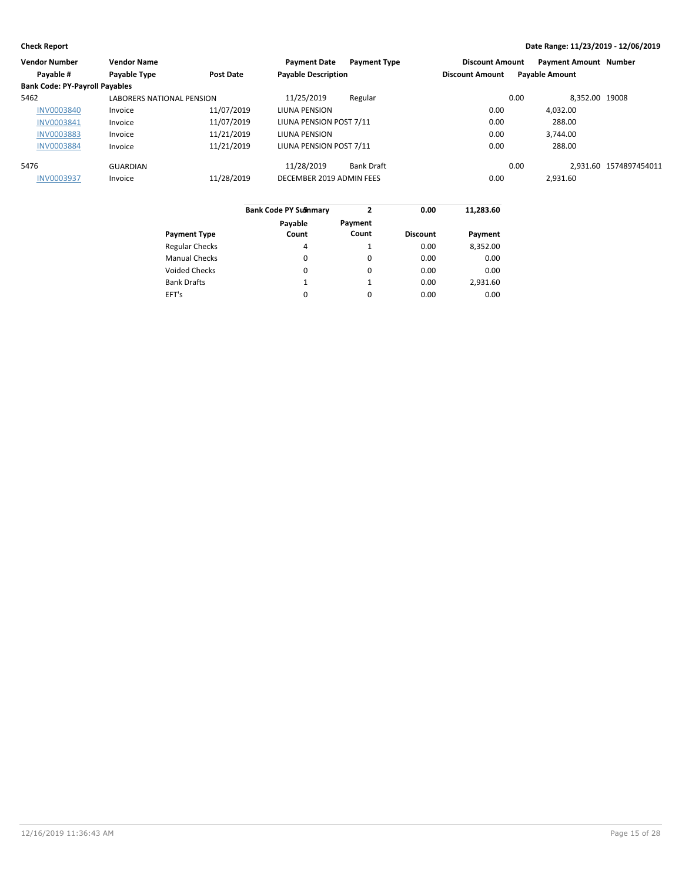| <b>Vendor Number</b>                  | <b>Vendor Name</b>               |                  | <b>Payment Date</b>        | <b>Payment Type</b> | <b>Discount Amount</b> | <b>Payment Amount Number</b> |                        |
|---------------------------------------|----------------------------------|------------------|----------------------------|---------------------|------------------------|------------------------------|------------------------|
| Payable #                             | Payable Type                     | <b>Post Date</b> | <b>Payable Description</b> |                     | <b>Discount Amount</b> | <b>Payable Amount</b>        |                        |
| <b>Bank Code: PY-Payroll Payables</b> |                                  |                  |                            |                     |                        |                              |                        |
| 5462                                  | <b>LABORERS NATIONAL PENSION</b> |                  | 11/25/2019                 | Regular             |                        | 0.00<br>8.352.00 19008       |                        |
| <b>INV0003840</b>                     | Invoice                          | 11/07/2019       | LIUNA PENSION              |                     | 0.00                   | 4.032.00                     |                        |
| INV0003841                            | Invoice                          | 11/07/2019       | LIUNA PENSION POST 7/11    |                     | 0.00                   | 288.00                       |                        |
| <b>INV0003883</b>                     | Invoice                          | 11/21/2019       | LIUNA PENSION              |                     | 0.00                   | 3.744.00                     |                        |
| <b>INV0003884</b>                     | Invoice                          | 11/21/2019       | LIUNA PENSION POST 7/11    |                     | 0.00                   | 288.00                       |                        |
| 5476                                  | GUARDIAN                         |                  | 11/28/2019                 | <b>Bank Draft</b>   |                        | 0.00                         | 2.931.60 1574897454011 |
| <b>INV0003937</b>                     | Invoice                          | 11/28/2019       | DECEMBER 2019 ADMIN FEES   |                     | 0.00                   | 2,931.60                     |                        |
|                                       |                                  |                  |                            |                     |                        |                              |                        |

|                       | <b>Bank Code PY Sulmmary</b> | 2       | 0.00            | 11,283.60 |
|-----------------------|------------------------------|---------|-----------------|-----------|
|                       | Payable                      | Payment |                 |           |
| Payment Type          | Count                        | Count   | <b>Discount</b> | Payment   |
| <b>Regular Checks</b> | 4                            | 1       | 0.00            | 8.352.00  |
| <b>Manual Checks</b>  | 0                            | 0       | 0.00            | 0.00      |
| <b>Voided Checks</b>  | 0                            | 0       | 0.00            | 0.00      |
| <b>Bank Drafts</b>    | 1                            | 1       | 0.00            | 2.931.60  |
| EFT's                 | 0                            | 0       | 0.00            | 0.00      |
|                       |                              |         |                 |           |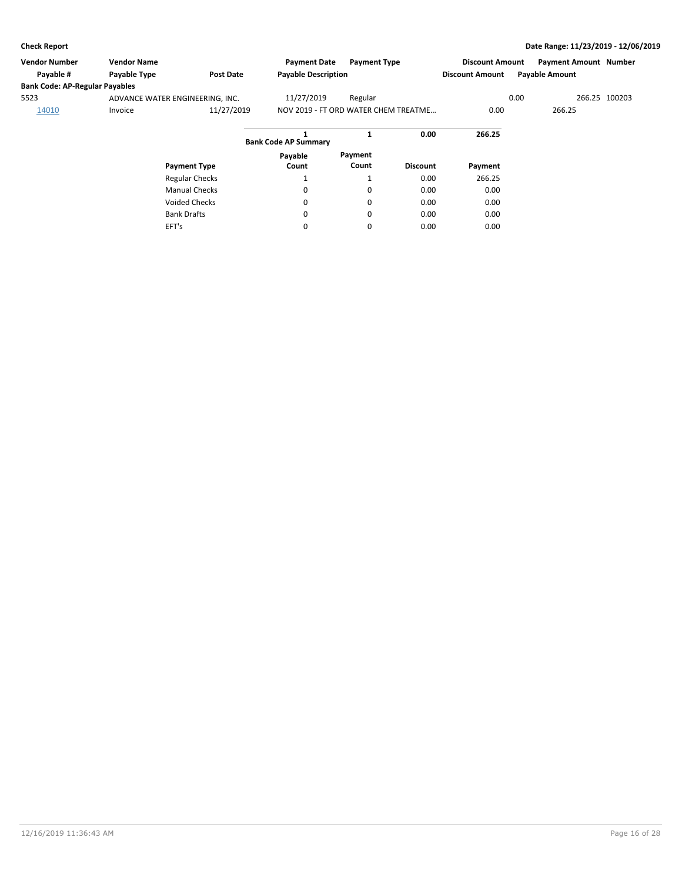EFT's

### **Check Report Date Range: 11/23/2019 - 12/06/2019**

| <b>Vendor Number</b>                  | <b>Vendor Name</b>              |                       | <b>Payment Date</b>                  | <b>Payment Type</b> |                 | <b>Discount Amount</b> |        | <b>Payment Amount Number</b> |               |
|---------------------------------------|---------------------------------|-----------------------|--------------------------------------|---------------------|-----------------|------------------------|--------|------------------------------|---------------|
| Payable #                             | Payable Type                    | <b>Post Date</b>      | <b>Payable Description</b>           |                     |                 | <b>Discount Amount</b> |        | <b>Payable Amount</b>        |               |
| <b>Bank Code: AP-Regular Payables</b> |                                 |                       |                                      |                     |                 |                        |        |                              |               |
| 5523                                  | ADVANCE WATER ENGINEERING, INC. |                       | 11/27/2019                           | Regular             |                 |                        | 0.00   |                              | 266.25 100203 |
| 14010                                 | Invoice                         | 11/27/2019            | NOV 2019 - FT ORD WATER CHEM TREATME |                     | 0.00            |                        | 266.25 |                              |               |
|                                       |                                 |                       | <b>Bank Code AP Summary</b>          | 1                   | 0.00            | 266.25                 |        |                              |               |
|                                       |                                 |                       | Payable                              | Payment             |                 |                        |        |                              |               |
|                                       |                                 | <b>Payment Type</b>   | Count                                | Count               | <b>Discount</b> | Payment                |        |                              |               |
|                                       |                                 | <b>Regular Checks</b> |                                      |                     | 0.00            | 266.25                 |        |                              |               |
|                                       |                                 | <b>Manual Checks</b>  | 0                                    | 0                   | 0.00            | 0.00                   |        |                              |               |
|                                       |                                 | <b>Voided Checks</b>  | 0                                    | 0                   | 0.00            | 0.00                   |        |                              |               |
|                                       |                                 | <b>Bank Drafts</b>    | 0                                    | 0                   | 0.00            | 0.00                   |        |                              |               |

0

0

0.00

0.00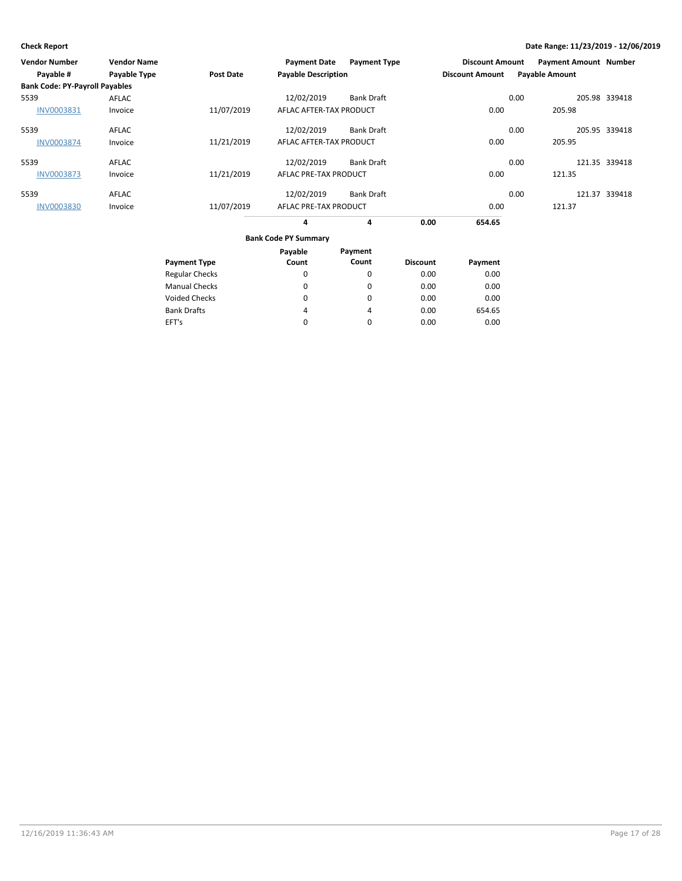| Vendor Number<br>Payable #            | <b>Vendor Name</b><br>Payable Type | Post Date             | <b>Payment Date</b><br><b>Payable Description</b> | <b>Payment Type</b> |                 | <b>Discount Amount</b><br><b>Discount Amount</b> |      | <b>Payment Amount Number</b><br><b>Payable Amount</b> |               |
|---------------------------------------|------------------------------------|-----------------------|---------------------------------------------------|---------------------|-----------------|--------------------------------------------------|------|-------------------------------------------------------|---------------|
| <b>Bank Code: PY-Payroll Payables</b> |                                    |                       |                                                   |                     |                 |                                                  |      |                                                       |               |
| 5539                                  | AFLAC                              |                       | 12/02/2019                                        | <b>Bank Draft</b>   |                 |                                                  | 0.00 |                                                       | 205.98 339418 |
| INV0003831                            | Invoice                            | 11/07/2019            | AFLAC AFTER-TAX PRODUCT                           |                     |                 | 0.00                                             |      | 205.98                                                |               |
| 5539                                  | <b>AFLAC</b>                       |                       | 12/02/2019                                        | <b>Bank Draft</b>   |                 |                                                  | 0.00 |                                                       | 205.95 339418 |
| <b>INV0003874</b>                     | Invoice                            | 11/21/2019            | AFLAC AFTER-TAX PRODUCT                           |                     |                 | 0.00                                             |      | 205.95                                                |               |
| 5539                                  | AFLAC                              |                       | 12/02/2019                                        | <b>Bank Draft</b>   |                 |                                                  | 0.00 |                                                       | 121.35 339418 |
| <b>INV0003873</b>                     | Invoice                            | 11/21/2019            | AFLAC PRE-TAX PRODUCT                             |                     |                 | 0.00                                             |      | 121.35                                                |               |
| 5539                                  | AFLAC                              |                       | 12/02/2019                                        | <b>Bank Draft</b>   |                 |                                                  | 0.00 |                                                       | 121.37 339418 |
| <b>INV0003830</b>                     | Invoice                            | 11/07/2019            | AFLAC PRE-TAX PRODUCT                             |                     |                 | 0.00                                             |      | 121.37                                                |               |
|                                       |                                    |                       | 4                                                 | 4                   | 0.00            | 654.65                                           |      |                                                       |               |
|                                       |                                    |                       | <b>Bank Code PY Summary</b>                       |                     |                 |                                                  |      |                                                       |               |
|                                       |                                    |                       | Payable                                           | Payment             |                 |                                                  |      |                                                       |               |
|                                       |                                    | <b>Payment Type</b>   | Count                                             | Count               | <b>Discount</b> | Payment                                          |      |                                                       |               |
|                                       |                                    | <b>Regular Checks</b> | 0                                                 | 0                   | 0.00            | 0.00                                             |      |                                                       |               |
|                                       |                                    | <b>Manual Checks</b>  | 0                                                 | 0                   | 0.00            | 0.00                                             |      |                                                       |               |

0 4 0  $\pmb{0}$ 4 0 0.00 0.00 0.00

0.00 654.65 0.00

Voided Checks

Bank Drafts EFT's

12/16/2019 11:36:43 AM Page 17 of 28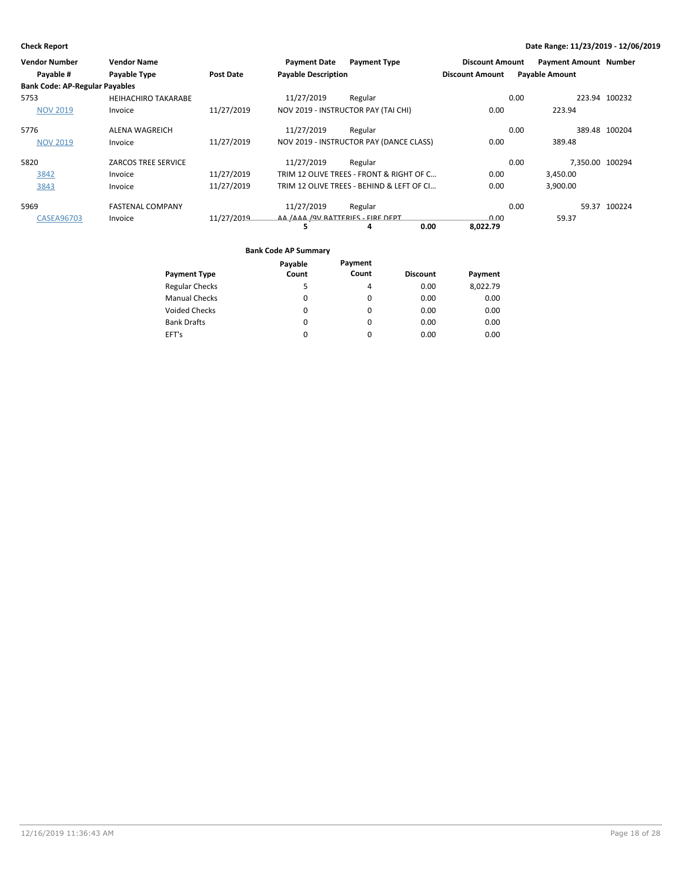| <b>Vendor Number</b>                  | <b>Vendor Name</b>         |                  | <b>Payment Date</b>               | <b>Payment Type</b>                       | <b>Discount Amount</b> | <b>Payment Amount Number</b> |               |
|---------------------------------------|----------------------------|------------------|-----------------------------------|-------------------------------------------|------------------------|------------------------------|---------------|
| Payable #                             | Payable Type               | <b>Post Date</b> | <b>Payable Description</b>        |                                           | <b>Discount Amount</b> | <b>Payable Amount</b>        |               |
| <b>Bank Code: AP-Regular Payables</b> |                            |                  |                                   |                                           |                        |                              |               |
| 5753                                  | <b>HEIHACHIRO TAKARABE</b> |                  | 11/27/2019                        | Regular                                   |                        | 0.00                         | 223.94 100232 |
| <b>NOV 2019</b>                       | Invoice                    | 11/27/2019       |                                   | NOV 2019 - INSTRUCTOR PAY (TAI CHI)       | 0.00                   | 223.94                       |               |
| 5776                                  | <b>ALENA WAGREICH</b>      |                  | 11/27/2019                        | Regular                                   |                        | 0.00                         | 389.48 100204 |
| <b>NOV 2019</b>                       | Invoice                    | 11/27/2019       |                                   | NOV 2019 - INSTRUCTOR PAY (DANCE CLASS)   | 0.00                   | 389.48                       |               |
| 5820                                  | <b>ZARCOS TREE SERVICE</b> |                  | 11/27/2019                        | Regular                                   |                        | 7.350.00 100294<br>0.00      |               |
| 3842                                  | Invoice                    | 11/27/2019       |                                   | TRIM 12 OLIVE TREES - FRONT & RIGHT OF C  | 0.00                   | 3,450.00                     |               |
| 3843                                  | Invoice                    | 11/27/2019       |                                   | TRIM 12 OLIVE TREES - BEHIND & LEFT OF CI | 0.00                   | 3,900.00                     |               |
| 5969                                  | <b>FASTENAL COMPANY</b>    |                  | 11/27/2019                        | Regular                                   |                        | 0.00                         | 59.37 100224  |
| <b>CASEA96703</b>                     | Invoice                    | 11/27/2019       | AA /AAA /9V BATTERIES - FIRE DEPT |                                           | 0.00                   | 59.37                        |               |
|                                       |                            |                  |                                   | 0.00<br>4                                 | 8,022.79               |                              |               |

|                       | Payable  | Payment  |                 |          |
|-----------------------|----------|----------|-----------------|----------|
| <b>Payment Type</b>   | Count    | Count    | <b>Discount</b> | Payment  |
| <b>Regular Checks</b> | 5        | 4        | 0.00            | 8,022.79 |
| <b>Manual Checks</b>  | 0        | $\Omega$ | 0.00            | 0.00     |
| <b>Voided Checks</b>  | 0        | $\Omega$ | 0.00            | 0.00     |
| <b>Bank Drafts</b>    | 0        | $\Omega$ | 0.00            | 0.00     |
| EFT's                 | $\Omega$ | $\Omega$ | 0.00            | 0.00     |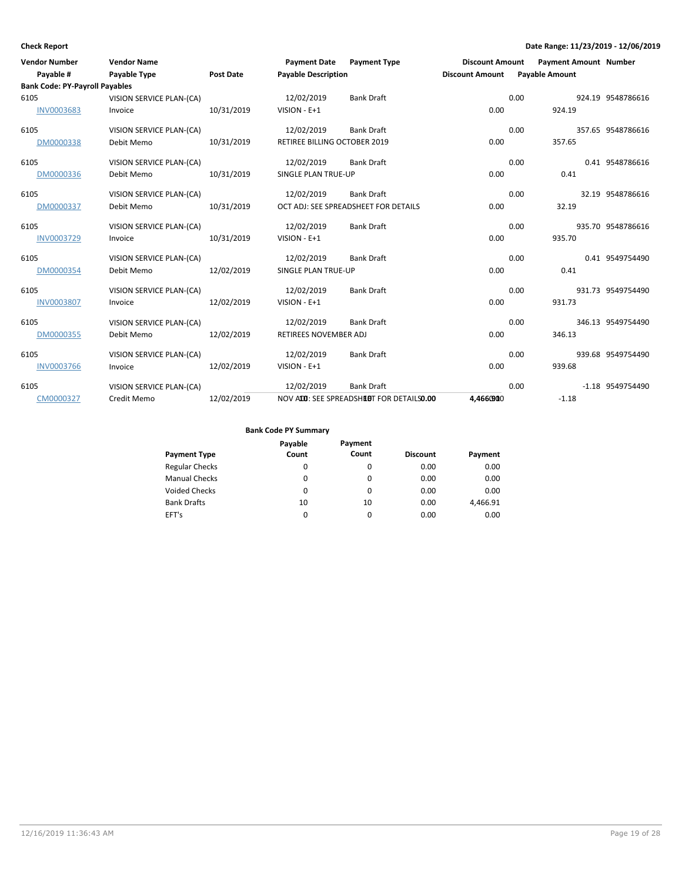| <b>Vendor Number</b>                  | <b>Vendor Name</b>       |            | <b>Payment Date</b>          | <b>Payment Type</b>                      | <b>Discount Amount</b> |      | <b>Payment Amount Number</b> |                   |
|---------------------------------------|--------------------------|------------|------------------------------|------------------------------------------|------------------------|------|------------------------------|-------------------|
| Payable #                             | Payable Type             | Post Date  | <b>Payable Description</b>   |                                          | <b>Discount Amount</b> |      | <b>Payable Amount</b>        |                   |
| <b>Bank Code: PY-Payroll Payables</b> |                          |            |                              |                                          |                        |      |                              |                   |
| 6105                                  | VISION SERVICE PLAN-(CA) |            | 12/02/2019                   | <b>Bank Draft</b>                        |                        | 0.00 |                              | 924.19 9548786616 |
| <b>INV0003683</b>                     | Invoice                  | 10/31/2019 | VISION - E+1                 |                                          | 0.00                   |      | 924.19                       |                   |
| 6105                                  | VISION SERVICE PLAN-(CA) |            | 12/02/2019                   | <b>Bank Draft</b>                        |                        | 0.00 |                              | 357.65 9548786616 |
| DM0000338                             | Debit Memo               | 10/31/2019 | RETIREE BILLING OCTOBER 2019 |                                          | 0.00                   |      | 357.65                       |                   |
| 6105                                  | VISION SERVICE PLAN-(CA) |            | 12/02/2019                   | <b>Bank Draft</b>                        |                        | 0.00 |                              | 0.41 9548786616   |
| DM0000336                             | Debit Memo               | 10/31/2019 | SINGLE PLAN TRUE-UP          |                                          | 0.00                   |      | 0.41                         |                   |
| 6105                                  | VISION SERVICE PLAN-(CA) |            | 12/02/2019                   | <b>Bank Draft</b>                        |                        | 0.00 |                              | 32.19 9548786616  |
| DM0000337                             | Debit Memo               | 10/31/2019 |                              | OCT ADJ: SEE SPREADSHEET FOR DETAILS     | 0.00                   |      | 32.19                        |                   |
| 6105                                  | VISION SERVICE PLAN-(CA) |            | 12/02/2019                   | <b>Bank Draft</b>                        |                        | 0.00 |                              | 935.70 9548786616 |
| INV0003729                            | Invoice                  | 10/31/2019 | VISION - E+1                 |                                          | 0.00                   |      | 935.70                       |                   |
| 6105                                  | VISION SERVICE PLAN-(CA) |            | 12/02/2019                   | <b>Bank Draft</b>                        |                        | 0.00 |                              | 0.41 9549754490   |
| DM0000354                             | Debit Memo               | 12/02/2019 | SINGLE PLAN TRUE-UP          |                                          | 0.00                   |      | 0.41                         |                   |
| 6105                                  | VISION SERVICE PLAN-(CA) |            | 12/02/2019                   | <b>Bank Draft</b>                        |                        | 0.00 |                              | 931.73 9549754490 |
| <b>INV0003807</b>                     | Invoice                  | 12/02/2019 | $VISION - E + 1$             |                                          | 0.00                   |      | 931.73                       |                   |
| 6105                                  | VISION SERVICE PLAN-(CA) |            | 12/02/2019                   | <b>Bank Draft</b>                        |                        | 0.00 |                              | 346.13 9549754490 |
| DM0000355                             | Debit Memo               | 12/02/2019 | <b>RETIREES NOVEMBER ADJ</b> |                                          | 0.00                   |      | 346.13                       |                   |
| 6105                                  | VISION SERVICE PLAN-(CA) |            | 12/02/2019                   | <b>Bank Draft</b>                        |                        | 0.00 |                              | 939.68 9549754490 |
| <b>INV0003766</b>                     | Invoice                  | 12/02/2019 | VISION - E+1                 |                                          | 0.00                   |      | 939.68                       |                   |
| 6105                                  | VISION SERVICE PLAN-(CA) |            | 12/02/2019                   | <b>Bank Draft</b>                        |                        | 0.00 |                              | -1.18 9549754490  |
| CM0000327                             | Credit Memo              | 12/02/2019 |                              | NOV ADD: SEE SPREADSHEDT FOR DETAILS0.00 | 4.4660900              |      | $-1.18$                      |                   |

| <b>Payment Type</b>   | Payable<br>Count | Payment<br>Count | <b>Discount</b> | Payment  |
|-----------------------|------------------|------------------|-----------------|----------|
| <b>Regular Checks</b> | 0                | $\Omega$         | 0.00            | 0.00     |
| <b>Manual Checks</b>  | 0                | $\Omega$         | 0.00            | 0.00     |
| <b>Voided Checks</b>  | 0                | 0                | 0.00            | 0.00     |
| <b>Bank Drafts</b>    | 10               | 10               | 0.00            | 4.466.91 |
| EFT's                 | 0                | $\Omega$         | 0.00            | 0.00     |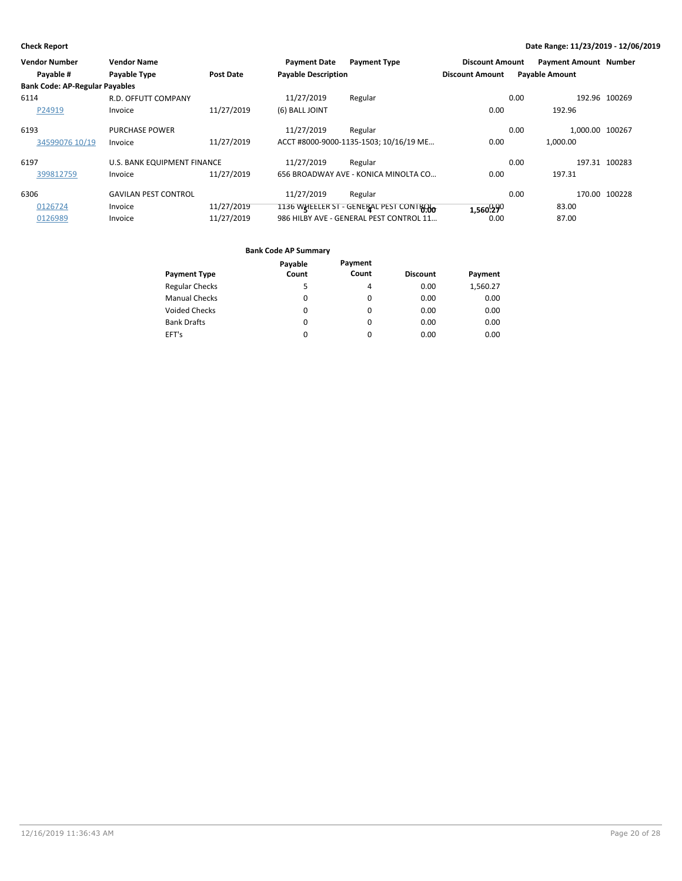| <b>Vendor Number</b>                  | <b>Vendor Name</b>                 |            | <b>Payment Date</b>        | <b>Payment Type</b>                     | <b>Discount Amount</b> | <b>Payment Amount Number</b> |               |
|---------------------------------------|------------------------------------|------------|----------------------------|-----------------------------------------|------------------------|------------------------------|---------------|
| Payable #                             | <b>Payable Type</b>                | Post Date  | <b>Payable Description</b> |                                         | <b>Discount Amount</b> | <b>Payable Amount</b>        |               |
| <b>Bank Code: AP-Regular Payables</b> |                                    |            |                            |                                         |                        |                              |               |
| 6114                                  | R.D. OFFUTT COMPANY                |            | 11/27/2019                 | Regular                                 |                        | 0.00                         | 192.96 100269 |
| P24919                                | Invoice                            | 11/27/2019 | (6) BALL JOINT             |                                         | 0.00                   | 192.96                       |               |
| 6193                                  | <b>PURCHASE POWER</b>              |            | 11/27/2019                 | Regular                                 |                        | 1.000.00 100267<br>0.00      |               |
| 34599076 10/19                        | Invoice                            | 11/27/2019 |                            | ACCT #8000-9000-1135-1503; 10/16/19 ME  | 0.00                   | 1.000.00                     |               |
| 6197                                  | <b>U.S. BANK EQUIPMENT FINANCE</b> |            | 11/27/2019                 | Regular                                 |                        | 0.00                         | 197.31 100283 |
| 399812759                             | Invoice                            | 11/27/2019 |                            | 656 BROADWAY AVE - KONICA MINOLTA CO    | 0.00                   | 197.31                       |               |
| 6306                                  | <b>GAVILAN PEST CONTROL</b>        |            | 11/27/2019                 | Regular                                 |                        | 0.00                         | 170.00 100228 |
| 0126724                               | Invoice                            | 11/27/2019 |                            | 1136 WHEELER ST - GENERAL PEST CONTROLO | 1,560.290              | 83.00                        |               |
| 0126989                               | Invoice                            | 11/27/2019 |                            | 986 HILBY AVE - GENERAL PEST CONTROL 11 | 0.00                   | 87.00                        |               |

|                       | Payable  | Payment  |                 |          |
|-----------------------|----------|----------|-----------------|----------|
| <b>Payment Type</b>   | Count    | Count    | <b>Discount</b> | Payment  |
| <b>Regular Checks</b> | 5        | 4        | 0.00            | 1,560.27 |
| <b>Manual Checks</b>  | 0        | 0        | 0.00            | 0.00     |
| <b>Voided Checks</b>  | 0        | 0        | 0.00            | 0.00     |
| <b>Bank Drafts</b>    | 0        | 0        | 0.00            | 0.00     |
| EFT's                 | $\Omega$ | $\Omega$ | 0.00            | 0.00     |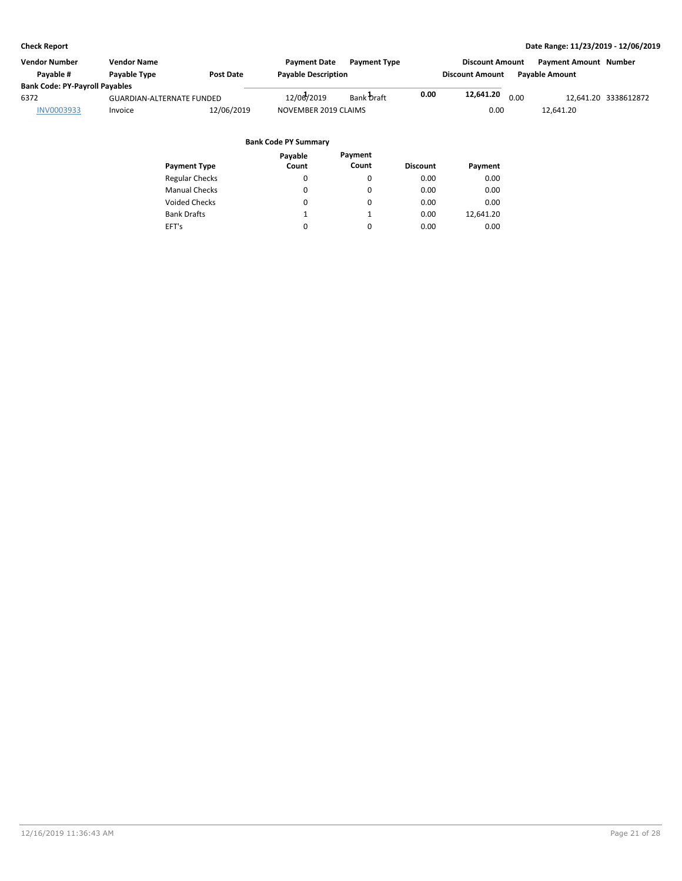| Vendor Number                         | <b>Vendor Name</b>               |                  | <b>Payment Date</b>        | <b>Payment Type</b> |      | <b>Discount Amount</b> |      | <b>Payment Amount Number</b> |                      |
|---------------------------------------|----------------------------------|------------------|----------------------------|---------------------|------|------------------------|------|------------------------------|----------------------|
| Pavable #                             | Payable Type                     | <b>Post Date</b> | <b>Payable Description</b> |                     |      | <b>Discount Amount</b> |      | <b>Pavable Amount</b>        |                      |
| <b>Bank Code: PY-Payroll Payables</b> |                                  |                  |                            |                     |      |                        |      |                              |                      |
| 6372                                  | <b>GUARDIAN-ALTERNATE FUNDED</b> |                  | 12/06/2019                 | Bank Draft          | 0.00 | 12,641.20              | 0.00 |                              | 12,641.20 3338612872 |
| <b>INV0003933</b>                     | Invoice                          | 12/06/2019       | NOVEMBER 2019 CLAIMS       |                     |      | 0.00                   |      | 12.641.20                    |                      |
|                                       |                                  |                  |                            |                     |      |                        |      |                              |                      |

| Payment   |
|-----------|
| 0.00      |
| 0.00      |
| 0.00      |
| 12.641.20 |
| 0.00      |
|           |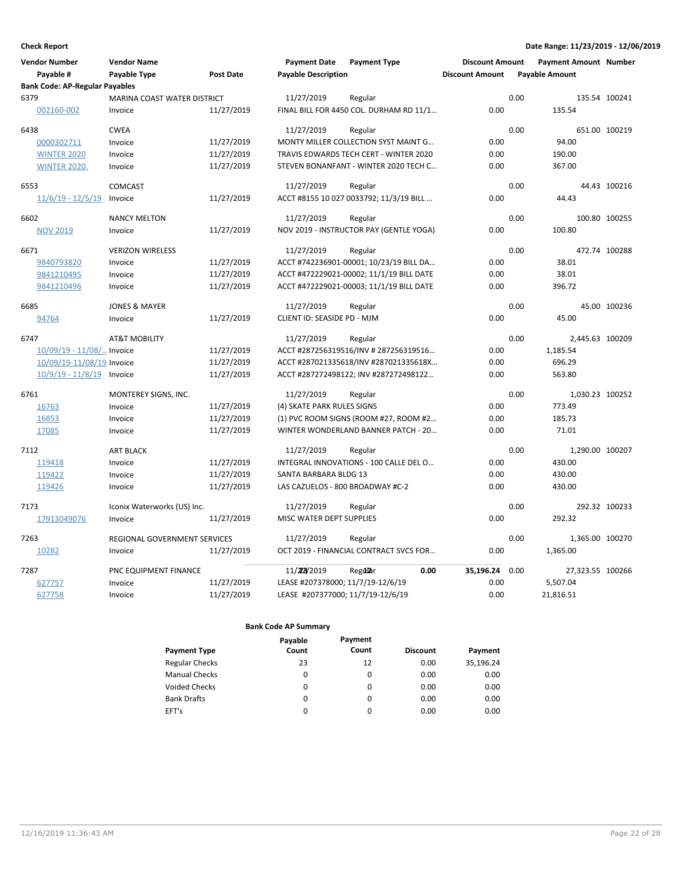| <b>Vendor Number</b>                  | <b>Vendor Name</b>                  |                  | <b>Payment Date</b>               | <b>Payment Type</b>                      | <b>Discount Amount</b> | <b>Payment Amount Number</b> |                  |
|---------------------------------------|-------------------------------------|------------------|-----------------------------------|------------------------------------------|------------------------|------------------------------|------------------|
| Payable #                             | Payable Type                        | <b>Post Date</b> | <b>Payable Description</b>        |                                          | <b>Discount Amount</b> | <b>Payable Amount</b>        |                  |
| <b>Bank Code: AP-Regular Payables</b> |                                     |                  |                                   |                                          |                        |                              |                  |
| 6379                                  | MARINA COAST WATER DISTRICT         |                  | 11/27/2019                        | Regular                                  |                        | 0.00                         | 135.54 100241    |
| 002160-002                            | Invoice                             | 11/27/2019       |                                   | FINAL BILL FOR 4450 COL. DURHAM RD 11/1  | 0.00                   | 135.54                       |                  |
| 6438                                  | <b>CWEA</b>                         |                  | 11/27/2019                        | Regular                                  |                        | 0.00                         | 651.00 100219    |
| 0000302711                            | Invoice                             | 11/27/2019       |                                   | MONTY MILLER COLLECTION SYST MAINT G     | 0.00                   | 94.00                        |                  |
| <b>WINTER 2020</b>                    | Invoice                             | 11/27/2019       |                                   | TRAVIS EDWARDS TECH CERT - WINTER 2020   | 0.00                   | 190.00                       |                  |
| <b>WINTER 2020.</b>                   | Invoice                             | 11/27/2019       |                                   | STEVEN BONANFANT - WINTER 2020 TECH C    | 0.00                   | 367.00                       |                  |
| 6553                                  | <b>COMCAST</b>                      |                  | 11/27/2019                        | Regular                                  |                        | 0.00                         | 44.43 100216     |
| $11/6/19 - 12/5/19$                   | Invoice                             | 11/27/2019       |                                   | ACCT #8155 10 027 0033792; 11/3/19 BILL  | 0.00                   | 44.43                        |                  |
| 6602                                  | <b>NANCY MELTON</b>                 |                  | 11/27/2019                        | Regular                                  |                        | 0.00                         | 100.80 100255    |
| <b>NOV 2019</b>                       | Invoice                             | 11/27/2019       |                                   | NOV 2019 - INSTRUCTOR PAY (GENTLE YOGA)  | 0.00                   | 100.80                       |                  |
| 6671                                  | <b>VERIZON WIRELESS</b>             |                  | 11/27/2019                        | Regular                                  |                        | 0.00                         | 472.74 100288    |
| 9840793820                            | Invoice                             | 11/27/2019       |                                   | ACCT #742236901-00001; 10/23/19 BILL DA  | 0.00                   | 38.01                        |                  |
| 9841210495                            | Invoice                             | 11/27/2019       |                                   | ACCT #472229021-00002; 11/1/19 BILL DATE | 0.00                   | 38.01                        |                  |
| 9841210496                            | Invoice                             | 11/27/2019       |                                   | ACCT #472229021-00003; 11/1/19 BILL DATE | 0.00                   | 396.72                       |                  |
| 6685                                  | <b>JONES &amp; MAYER</b>            |                  | 11/27/2019                        | Regular                                  |                        | 0.00                         | 45.00 100236     |
| 94764                                 | Invoice                             | 11/27/2019       | CLIENT ID: SEASIDE PD - MJM       |                                          | 0.00                   | 45.00                        |                  |
| 6747                                  | <b>AT&amp;T MOBILITY</b>            |                  | 11/27/2019                        | Regular                                  |                        | 0.00                         | 2,445.63 100209  |
| 10/09/19 - 11/08/ Invoice             |                                     | 11/27/2019       |                                   | ACCT #287256319516/INV #287256319516     | 0.00                   | 1,185.54                     |                  |
| 10/09/19-11/08/19 Invoice             |                                     | 11/27/2019       |                                   | ACCT #287021335618/INV #287021335618X    | 0.00                   | 696.29                       |                  |
| $10/9/19 - 11/8/19$                   | Invoice                             | 11/27/2019       |                                   | ACCT #287272498122; INV #287272498122    | 0.00                   | 563.80                       |                  |
| 6761                                  | MONTEREY SIGNS, INC.                |                  | 11/27/2019                        | Regular                                  |                        | 0.00                         | 1,030.23 100252  |
| 16763                                 | Invoice                             | 11/27/2019       | (4) SKATE PARK RULES SIGNS        |                                          | 0.00                   | 773.49                       |                  |
| 16853                                 | Invoice                             | 11/27/2019       |                                   | (1) PVC ROOM SIGNS (ROOM #27, ROOM #2    | 0.00                   | 185.73                       |                  |
| 17085                                 | Invoice                             | 11/27/2019       |                                   | WINTER WONDERLAND BANNER PATCH - 20      | 0.00                   | 71.01                        |                  |
| 7112                                  | <b>ART BLACK</b>                    |                  | 11/27/2019                        | Regular                                  |                        | 0.00                         | 1,290.00 100207  |
| 119418                                | Invoice                             | 11/27/2019       |                                   | INTEGRAL INNOVATIONS - 100 CALLE DEL O   | 0.00                   | 430.00                       |                  |
| 119422                                | Invoice                             | 11/27/2019       | SANTA BARBARA BLDG 13             |                                          | 0.00                   | 430.00                       |                  |
| 119426                                | Invoice                             | 11/27/2019       | LAS CAZUELOS - 800 BROADWAY #C-2  |                                          | 0.00                   | 430.00                       |                  |
| 7173                                  | Iconix Waterworks (US) Inc.         |                  | 11/27/2019                        | Regular                                  |                        | 0.00                         | 292.32 100233    |
| 17913049076                           | Invoice                             | 11/27/2019       | MISC WATER DEPT SUPPLIES          |                                          | 0.00                   | 292.32                       |                  |
| 7263                                  | <b>REGIONAL GOVERNMENT SERVICES</b> |                  | 11/27/2019                        | Regular                                  |                        | 0.00                         | 1,365.00 100270  |
| 10282                                 | Invoice                             | 11/27/2019       |                                   | OCT 2019 - FINANCIAL CONTRACT SVCS FOR   | 0.00                   | 1,365.00                     |                  |
| 7287                                  | PNC EQUIPMENT FINANCE               |                  | 11/228/2019                       | 0.00<br>Regdlar                          | 35,196.24              | 0.00                         | 27,323.55 100266 |
| 627757                                | Invoice                             | 11/27/2019       | LEASE #207378000; 11/7/19-12/6/19 |                                          | 0.00                   | 5,507.04                     |                  |
| 627758                                | Invoice                             | 11/27/2019       | LEASE #207377000; 11/7/19-12/6/19 |                                          | 0.00                   | 21,816.51                    |                  |

|                       | Payable | Payment  |                 |           |
|-----------------------|---------|----------|-----------------|-----------|
| <b>Payment Type</b>   | Count   | Count    | <b>Discount</b> | Payment   |
| <b>Regular Checks</b> | 23      | 12       | 0.00            | 35,196.24 |
| <b>Manual Checks</b>  | 0       | 0        | 0.00            | 0.00      |
| <b>Voided Checks</b>  | 0       | 0        | 0.00            | 0.00      |
| <b>Bank Drafts</b>    | 0       | $\Omega$ | 0.00            | 0.00      |
| EFT's                 | 0       | $\Omega$ | 0.00            | 0.00      |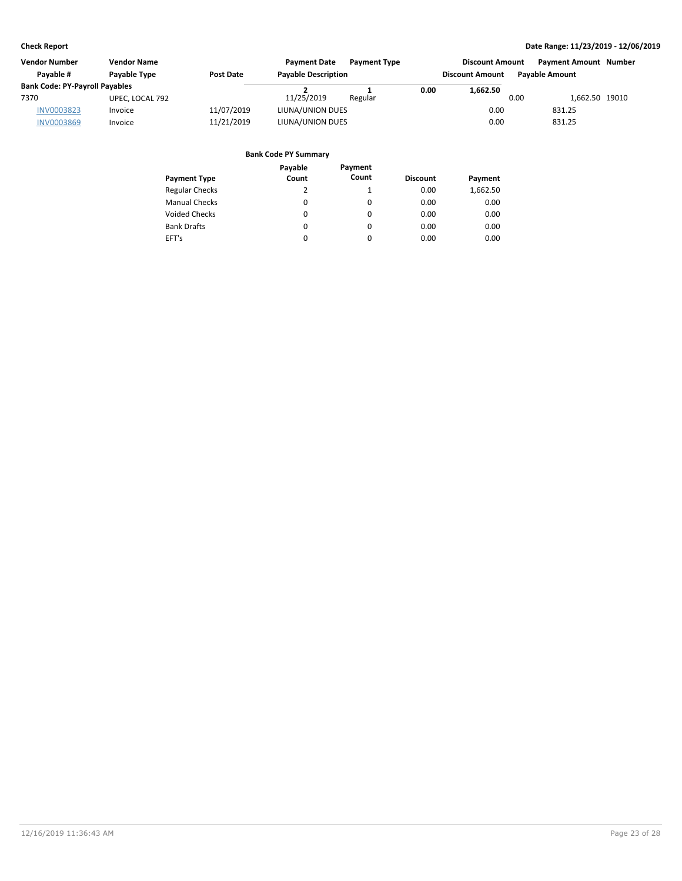| <b>Vendor Number</b>                  | <b>Vendor Name</b> |                  | <b>Payment Date</b>        | <b>Payment Type</b> |      | <b>Discount Amount</b> |      | <b>Payment Amount Number</b> |  |
|---------------------------------------|--------------------|------------------|----------------------------|---------------------|------|------------------------|------|------------------------------|--|
| Pavable #                             | Payable Type       | <b>Post Date</b> | <b>Payable Description</b> |                     |      | <b>Discount Amount</b> |      | <b>Pavable Amount</b>        |  |
| <b>Bank Code: PY-Payroll Payables</b> |                    |                  |                            |                     | 0.00 | 1,662.50               |      |                              |  |
| 7370                                  | UPEC, LOCAL 792    |                  | 11/25/2019                 | Regular             |      |                        | 0.00 | 1,662.50 19010               |  |
| <b>INV0003823</b>                     | Invoice            | 11/07/2019       | LIUNA/UNION DUES           |                     |      | 0.00                   |      | 831.25                       |  |
| <b>INV0003869</b>                     | Invoice            | 11/21/2019       | LIUNA/UNION DUES           |                     |      | 0.00                   |      | 831.25                       |  |

|                       | Payable | Payment      |                 |          |
|-----------------------|---------|--------------|-----------------|----------|
| <b>Payment Type</b>   | Count   | Count        | <b>Discount</b> | Payment  |
| <b>Regular Checks</b> | 2       | $\mathbf{1}$ | 0.00            | 1,662.50 |
| <b>Manual Checks</b>  | 0       | $\Omega$     | 0.00            | 0.00     |
| <b>Voided Checks</b>  | 0       | $\Omega$     | 0.00            | 0.00     |
| <b>Bank Drafts</b>    | 0       | $\Omega$     | 0.00            | 0.00     |
| EFT's                 | 0       | $\Omega$     | 0.00            | 0.00     |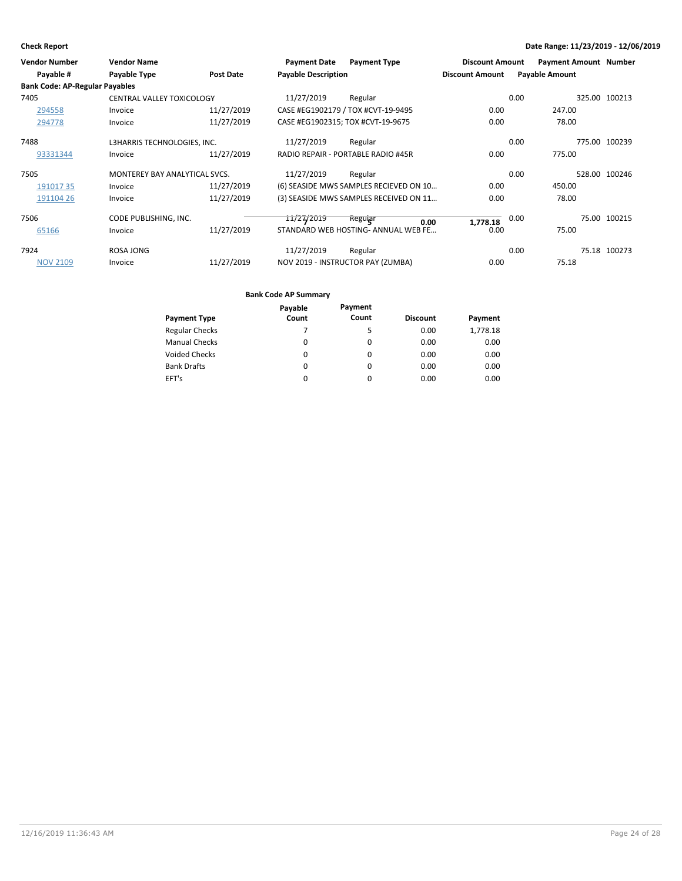| <b>Vendor Number</b>                  | <b>Vendor Name</b>                   |                  | <b>Payment Date</b>               | <b>Payment Type</b>                    | <b>Discount Amount</b> |      | <b>Payment Amount Number</b> |               |
|---------------------------------------|--------------------------------------|------------------|-----------------------------------|----------------------------------------|------------------------|------|------------------------------|---------------|
| Payable #                             | Payable Type                         | <b>Post Date</b> | <b>Payable Description</b>        |                                        | <b>Discount Amount</b> |      | <b>Payable Amount</b>        |               |
| <b>Bank Code: AP-Regular Payables</b> |                                      |                  |                                   |                                        |                        |      |                              |               |
| 7405                                  | CENTRAL VALLEY TOXICOLOGY            |                  | 11/27/2019                        | Regular                                |                        | 0.00 |                              | 325.00 100213 |
| 294558                                | Invoice                              | 11/27/2019       |                                   | CASE #EG1902179 / TOX #CVT-19-9495     | 0.00                   |      | 247.00                       |               |
| 294778                                | Invoice                              | 11/27/2019       | CASE #EG1902315; TOX #CVT-19-9675 |                                        | 0.00                   |      | 78.00                        |               |
| 7488                                  | L3HARRIS TECHNOLOGIES, INC.          |                  | 11/27/2019                        | Regular                                |                        | 0.00 |                              | 775.00 100239 |
| 93331344                              | Invoice                              | 11/27/2019       |                                   | RADIO REPAIR - PORTABLE RADIO #45R     | 0.00                   |      | 775.00                       |               |
| 7505                                  | <b>MONTEREY BAY ANALYTICAL SVCS.</b> |                  | 11/27/2019                        | Regular                                |                        | 0.00 |                              | 528.00 100246 |
| 19101735                              | Invoice                              | 11/27/2019       |                                   | (6) SEASIDE MWS SAMPLES RECIEVED ON 10 | 0.00                   |      | 450.00                       |               |
| 191104 26                             | Invoice                              | 11/27/2019       |                                   | (3) SEASIDE MWS SAMPLES RECEIVED ON 11 | 0.00                   |      | 78.00                        |               |
| 7506                                  | CODE PUBLISHING, INC.                |                  | 11/27/2019                        | Reguiar<br>0.00                        | 1,778.18               | 0.00 |                              | 75.00 100215  |
| 65166                                 | Invoice                              | 11/27/2019       |                                   | STANDARD WEB HOSTING-ANNUAL WEB FE     | 0.00                   |      | 75.00                        |               |
| 7924                                  | <b>ROSA JONG</b>                     |                  | 11/27/2019                        | Regular                                |                        | 0.00 |                              | 75.18 100273  |
| <b>NOV 2109</b>                       | Invoice                              | 11/27/2019       |                                   | NOV 2019 - INSTRUCTOR PAY (ZUMBA)      | 0.00                   |      | 75.18                        |               |

|                       | Payable | Payment  |                 |          |
|-----------------------|---------|----------|-----------------|----------|
| <b>Payment Type</b>   | Count   | Count    | <b>Discount</b> | Payment  |
| <b>Regular Checks</b> |         | 5        | 0.00            | 1,778.18 |
| <b>Manual Checks</b>  | 0       | $\Omega$ | 0.00            | 0.00     |
| <b>Voided Checks</b>  | 0       | $\Omega$ | 0.00            | 0.00     |
| <b>Bank Drafts</b>    | 0       | $\Omega$ | 0.00            | 0.00     |
| EFT's                 | 0       | 0        | 0.00            | 0.00     |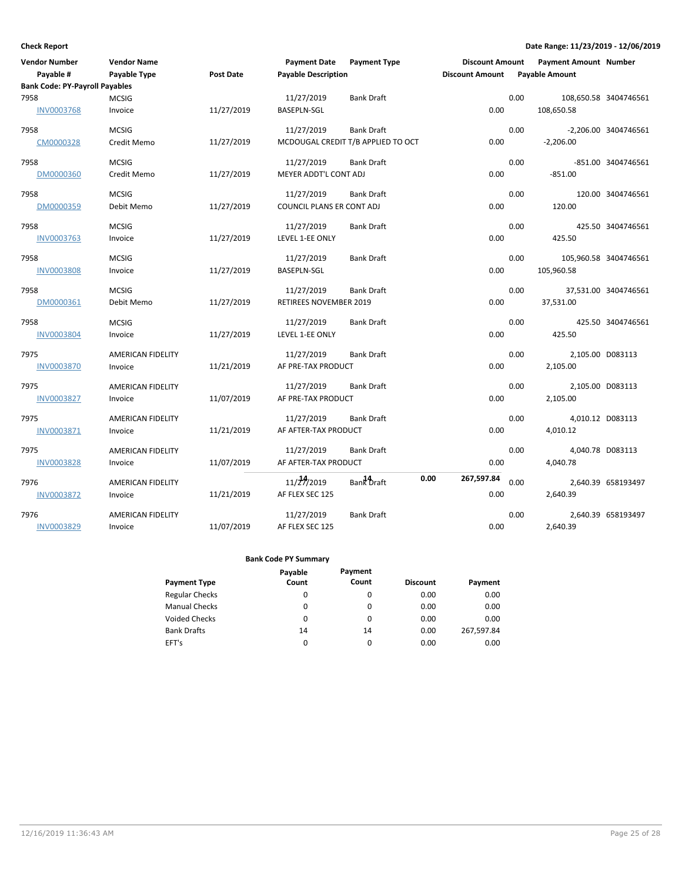| <b>Vendor Number</b>                  | <b>Vendor Name</b>       |                  | <b>Payment Date</b>        | <b>Payment Type</b>                | <b>Discount Amount</b> | <b>Payment Amount Number</b> |                       |
|---------------------------------------|--------------------------|------------------|----------------------------|------------------------------------|------------------------|------------------------------|-----------------------|
| Payable #                             | Payable Type             | <b>Post Date</b> | <b>Payable Description</b> |                                    | <b>Discount Amount</b> | <b>Payable Amount</b>        |                       |
| <b>Bank Code: PY-Payroll Payables</b> |                          |                  |                            |                                    |                        |                              |                       |
| 7958                                  | <b>MCSIG</b>             |                  | 11/27/2019                 | <b>Bank Draft</b>                  |                        | 0.00                         | 108,650.58 3404746561 |
| <b>INV0003768</b>                     | Invoice                  | 11/27/2019       | <b>BASEPLN-SGL</b>         |                                    | 0.00                   | 108,650.58                   |                       |
| 7958                                  | <b>MCSIG</b>             |                  | 11/27/2019                 | <b>Bank Draft</b>                  |                        | 0.00                         | -2,206.00 3404746561  |
| CM0000328                             | Credit Memo              | 11/27/2019       |                            | MCDOUGAL CREDIT T/B APPLIED TO OCT | 0.00                   | $-2,206.00$                  |                       |
| 7958                                  | <b>MCSIG</b>             |                  | 11/27/2019                 | <b>Bank Draft</b>                  |                        | 0.00                         | -851.00 3404746561    |
| DM0000360                             | Credit Memo              | 11/27/2019       | MEYER ADDT'L CONT ADJ      |                                    | 0.00                   | $-851.00$                    |                       |
| 7958                                  | <b>MCSIG</b>             |                  | 11/27/2019                 | <b>Bank Draft</b>                  |                        | 0.00                         | 120.00 3404746561     |
| DM0000359                             | Debit Memo               | 11/27/2019       | COUNCIL PLANS ER CONT ADJ  |                                    | 0.00                   | 120.00                       |                       |
| 7958                                  | <b>MCSIG</b>             |                  | 11/27/2019                 | <b>Bank Draft</b>                  |                        | 0.00                         | 425.50 3404746561     |
| <b>INV0003763</b>                     | Invoice                  | 11/27/2019       | LEVEL 1-EE ONLY            |                                    | 0.00                   | 425.50                       |                       |
| 7958                                  | <b>MCSIG</b>             |                  | 11/27/2019                 | <b>Bank Draft</b>                  |                        | 0.00                         | 105,960.58 3404746561 |
| <b>INV0003808</b>                     | Invoice                  | 11/27/2019       | <b>BASEPLN-SGL</b>         |                                    | 0.00                   | 105,960.58                   |                       |
| 7958                                  | <b>MCSIG</b>             |                  | 11/27/2019                 | <b>Bank Draft</b>                  |                        | 0.00                         | 37,531.00 3404746561  |
| DM0000361                             | Debit Memo               | 11/27/2019       | RETIREES NOVEMBER 2019     |                                    | 0.00                   | 37,531.00                    |                       |
| 7958                                  | <b>MCSIG</b>             |                  | 11/27/2019                 | <b>Bank Draft</b>                  |                        | 0.00                         | 425.50 3404746561     |
| <b>INV0003804</b>                     | Invoice                  | 11/27/2019       | LEVEL 1-EE ONLY            |                                    | 0.00                   | 425.50                       |                       |
| 7975                                  | <b>AMERICAN FIDELITY</b> |                  | 11/27/2019                 | <b>Bank Draft</b>                  |                        | 0.00                         | 2,105.00 D083113      |
| <b>INV0003870</b>                     | Invoice                  | 11/21/2019       | AF PRE-TAX PRODUCT         |                                    | 0.00                   | 2,105.00                     |                       |
| 7975                                  | AMERICAN FIDELITY        |                  | 11/27/2019                 | <b>Bank Draft</b>                  |                        | 0.00                         | 2,105.00 D083113      |
| <b>INV0003827</b>                     | Invoice                  | 11/07/2019       | AF PRE-TAX PRODUCT         |                                    | 0.00                   | 2,105.00                     |                       |
| 7975                                  | AMERICAN FIDELITY        |                  | 11/27/2019                 | <b>Bank Draft</b>                  |                        | 0.00                         | 4,010.12 D083113      |
| INV0003871                            | Invoice                  | 11/21/2019       | AF AFTER-TAX PRODUCT       |                                    | 0.00                   | 4,010.12                     |                       |
| 7975                                  | AMERICAN FIDELITY        |                  | 11/27/2019                 | <b>Bank Draft</b>                  |                        | 0.00                         | 4,040.78 D083113      |
| <b>INV0003828</b>                     | Invoice                  | 11/07/2019       | AF AFTER-TAX PRODUCT       |                                    | 0.00                   | 4,040.78                     |                       |
| 7976                                  | AMERICAN FIDELITY        |                  | 11/27/2019                 | Bank Draft                         | 0.00<br>267,597.84     | 0.00                         | 2,640.39 658193497    |
| <b>INV0003872</b>                     | Invoice                  | 11/21/2019       | AF FLEX SEC 125            |                                    | 0.00                   | 2,640.39                     |                       |
| 7976                                  | AMERICAN FIDELITY        |                  | 11/27/2019                 | <b>Bank Draft</b>                  |                        | 0.00                         | 2,640.39 658193497    |
| INV0003829                            | Invoice                  | 11/07/2019       | AF FLEX SEC 125            |                                    | 0.00                   | 2,640.39                     |                       |

|                       | Payable | Payment  |                 |            |
|-----------------------|---------|----------|-----------------|------------|
| <b>Payment Type</b>   | Count   | Count    | <b>Discount</b> | Payment    |
| <b>Regular Checks</b> | 0       | 0        | 0.00            | 0.00       |
| <b>Manual Checks</b>  | 0       | 0        | 0.00            | 0.00       |
| <b>Voided Checks</b>  | 0       | $\Omega$ | 0.00            | 0.00       |
| <b>Bank Drafts</b>    | 14      | 14       | 0.00            | 267.597.84 |
| EFT's                 | 0       | 0        | 0.00            | 0.00       |
|                       |         |          |                 |            |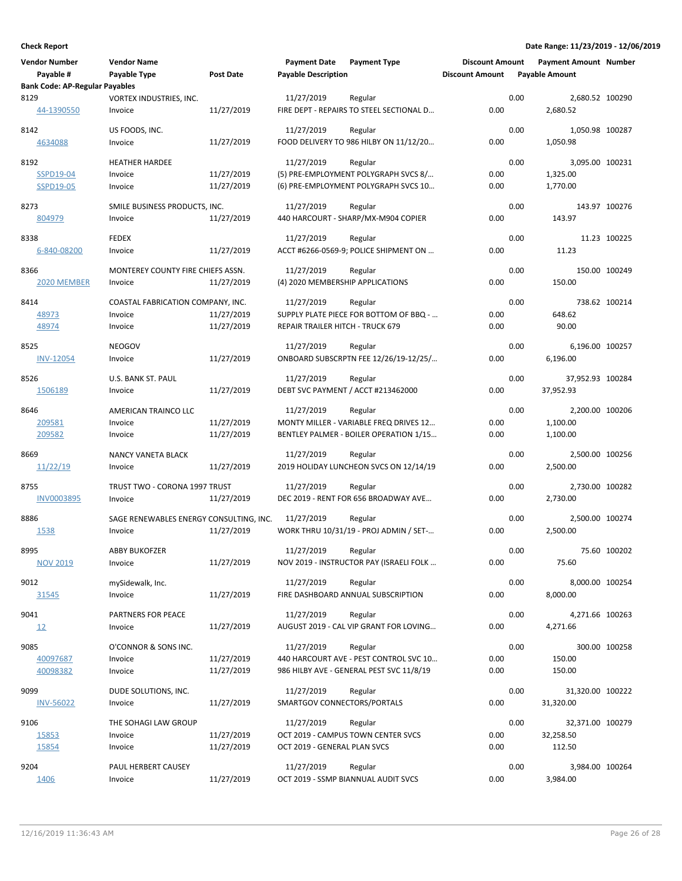| <b>Vendor Number</b>                               | <b>Vendor Name</b>                      |            | <b>Payment Date</b>              | <b>Payment Type</b>                               | <b>Discount Amount</b> |      | <b>Payment Amount Number</b> |               |
|----------------------------------------------------|-----------------------------------------|------------|----------------------------------|---------------------------------------------------|------------------------|------|------------------------------|---------------|
| Payable #<br><b>Bank Code: AP-Regular Payables</b> | Payable Type                            | Post Date  | <b>Payable Description</b>       |                                                   | <b>Discount Amount</b> |      | <b>Payable Amount</b>        |               |
| 8129                                               | VORTEX INDUSTRIES, INC.                 |            | 11/27/2019                       | Regular                                           |                        | 0.00 | 2,680.52 100290              |               |
| 44-1390550                                         | Invoice                                 | 11/27/2019 |                                  | FIRE DEPT - REPAIRS TO STEEL SECTIONAL D          | 0.00                   |      | 2,680.52                     |               |
| 8142                                               | US FOODS, INC.                          |            | 11/27/2019                       | Regular                                           |                        | 0.00 | 1,050.98 100287              |               |
| 4634088                                            | Invoice                                 | 11/27/2019 |                                  | FOOD DELIVERY TO 986 HILBY ON 11/12/20            | 0.00                   |      | 1,050.98                     |               |
| 8192                                               | <b>HEATHER HARDEE</b>                   |            | 11/27/2019                       | Regular                                           |                        | 0.00 | 3,095.00 100231              |               |
| SSPD19-04                                          | Invoice                                 | 11/27/2019 |                                  | (5) PRE-EMPLOYMENT POLYGRAPH SVCS 8/              | 0.00                   |      | 1,325.00                     |               |
| SSPD19-05                                          | Invoice                                 | 11/27/2019 |                                  | (6) PRE-EMPLOYMENT POLYGRAPH SVCS 10              | 0.00                   |      | 1,770.00                     |               |
| 8273                                               | SMILE BUSINESS PRODUCTS, INC.           |            | 11/27/2019                       | Regular                                           |                        | 0.00 |                              | 143.97 100276 |
| 804979                                             | Invoice                                 | 11/27/2019 |                                  | 440 HARCOURT - SHARP/MX-M904 COPIER               | 0.00                   |      | 143.97                       |               |
| 8338                                               | <b>FEDEX</b>                            |            | 11/27/2019                       | Regular                                           |                        | 0.00 |                              | 11.23 100225  |
| 6-840-08200                                        | Invoice                                 | 11/27/2019 |                                  | ACCT #6266-0569-9; POLICE SHIPMENT ON             | 0.00                   |      | 11.23                        |               |
| 8366                                               | MONTEREY COUNTY FIRE CHIEFS ASSN.       |            | 11/27/2019                       | Regular                                           |                        | 0.00 |                              | 150.00 100249 |
| <b>2020 MEMBER</b>                                 | Invoice                                 | 11/27/2019 | (4) 2020 MEMBERSHIP APPLICATIONS |                                                   | 0.00                   |      | 150.00                       |               |
|                                                    |                                         |            |                                  |                                                   |                        |      |                              |               |
| 8414                                               | COASTAL FABRICATION COMPANY, INC.       |            | 11/27/2019                       | Regular                                           |                        | 0.00 |                              | 738.62 100214 |
| 48973                                              | Invoice                                 | 11/27/2019 |                                  | SUPPLY PLATE PIECE FOR BOTTOM OF BBQ -            | 0.00                   |      | 648.62                       |               |
| 48974                                              | Invoice                                 | 11/27/2019 | REPAIR TRAILER HITCH - TRUCK 679 |                                                   | 0.00                   |      | 90.00                        |               |
| 8525                                               | <b>NEOGOV</b>                           |            | 11/27/2019                       | Regular                                           |                        | 0.00 | 6,196.00 100257              |               |
| <b>INV-12054</b>                                   | Invoice                                 | 11/27/2019 |                                  | ONBOARD SUBSCRPTN FEE 12/26/19-12/25/             | 0.00                   |      | 6,196.00                     |               |
| 8526                                               | U.S. BANK ST. PAUL                      |            | 11/27/2019                       | Regular                                           |                        | 0.00 | 37,952.93 100284             |               |
| 1506189                                            | Invoice                                 | 11/27/2019 |                                  | DEBT SVC PAYMENT / ACCT #213462000                | 0.00                   |      | 37,952.93                    |               |
| 8646                                               | AMERICAN TRAINCO LLC                    |            | 11/27/2019                       | Regular                                           |                        | 0.00 | 2,200.00 100206              |               |
| 209581                                             | Invoice                                 | 11/27/2019 |                                  | MONTY MILLER - VARIABLE FREQ DRIVES 12            | 0.00                   |      | 1,100.00                     |               |
| 209582                                             | Invoice                                 | 11/27/2019 |                                  | BENTLEY PALMER - BOILER OPERATION 1/15            | 0.00                   |      | 1,100.00                     |               |
|                                                    |                                         |            |                                  |                                                   |                        |      |                              |               |
| 8669<br>11/22/19                                   | <b>NANCY VANETA BLACK</b>               | 11/27/2019 | 11/27/2019                       | Regular<br>2019 HOLIDAY LUNCHEON SVCS ON 12/14/19 | 0.00                   | 0.00 | 2,500.00 100256<br>2,500.00  |               |
|                                                    | Invoice                                 |            |                                  |                                                   |                        |      |                              |               |
| 8755                                               | TRUST TWO - CORONA 1997 TRUST           |            | 11/27/2019                       | Regular                                           |                        | 0.00 | 2,730.00 100282              |               |
| <b>INV0003895</b>                                  | Invoice                                 | 11/27/2019 |                                  | DEC 2019 - RENT FOR 656 BROADWAY AVE              | 0.00                   |      | 2,730.00                     |               |
| 8886                                               | SAGE RENEWABLES ENERGY CONSULTING, INC. |            | 11/27/2019                       | Regular                                           |                        | 0.00 | 2,500.00 100274              |               |
| 1538                                               | Invoice                                 | 11/27/2019 |                                  | WORK THRU 10/31/19 - PROJ ADMIN / SET-            | 0.00                   |      | 2,500.00                     |               |
| 8995                                               | <b>ABBY BUKOFZER</b>                    |            | 11/27/2019                       | Regular                                           |                        | 0.00 |                              | 75.60 100202  |
| <b>NOV 2019</b>                                    | Invoice                                 | 11/27/2019 |                                  | NOV 2019 - INSTRUCTOR PAY (ISRAELI FOLK           | 0.00                   |      | 75.60                        |               |
| 9012                                               | mySidewalk, Inc.                        |            | 11/27/2019                       | Regular                                           |                        | 0.00 | 8,000.00 100254              |               |
| 31545                                              | Invoice                                 | 11/27/2019 |                                  | FIRE DASHBOARD ANNUAL SUBSCRIPTION                | 0.00                   |      | 8,000.00                     |               |
|                                                    |                                         |            |                                  |                                                   |                        |      |                              |               |
| 9041                                               | PARTNERS FOR PEACE                      |            | 11/27/2019                       | Regular                                           |                        | 0.00 | 4,271.66 100263              |               |
| 12                                                 | Invoice                                 | 11/27/2019 |                                  | AUGUST 2019 - CAL VIP GRANT FOR LOVING            | 0.00                   |      | 4,271.66                     |               |
| 9085                                               | O'CONNOR & SONS INC.                    |            | 11/27/2019                       | Regular                                           |                        | 0.00 |                              | 300.00 100258 |
| 40097687                                           | Invoice                                 | 11/27/2019 |                                  | 440 HARCOURT AVE - PEST CONTROL SVC 10            | 0.00                   |      | 150.00                       |               |
| 40098382                                           | Invoice                                 | 11/27/2019 |                                  | 986 HILBY AVE - GENERAL PEST SVC 11/8/19          | 0.00                   |      | 150.00                       |               |
| 9099                                               | DUDE SOLUTIONS, INC.                    |            | 11/27/2019                       | Regular                                           |                        | 0.00 | 31,320.00 100222             |               |
| <b>INV-56022</b>                                   | Invoice                                 | 11/27/2019 | SMARTGOV CONNECTORS/PORTALS      |                                                   | 0.00                   |      | 31,320.00                    |               |
| 9106                                               | THE SOHAGI LAW GROUP                    |            | 11/27/2019                       | Regular                                           |                        | 0.00 | 32,371.00 100279             |               |
| 15853                                              | Invoice                                 | 11/27/2019 |                                  | OCT 2019 - CAMPUS TOWN CENTER SVCS                | 0.00                   |      | 32,258.50                    |               |
| 15854                                              | Invoice                                 | 11/27/2019 | OCT 2019 - GENERAL PLAN SVCS     |                                                   | 0.00                   |      | 112.50                       |               |
| 9204                                               | PAUL HERBERT CAUSEY                     |            | 11/27/2019                       | Regular                                           |                        | 0.00 | 3,984.00 100264              |               |
| 1406                                               | Invoice                                 | 11/27/2019 |                                  | OCT 2019 - SSMP BIANNUAL AUDIT SVCS               | 0.00                   |      | 3,984.00                     |               |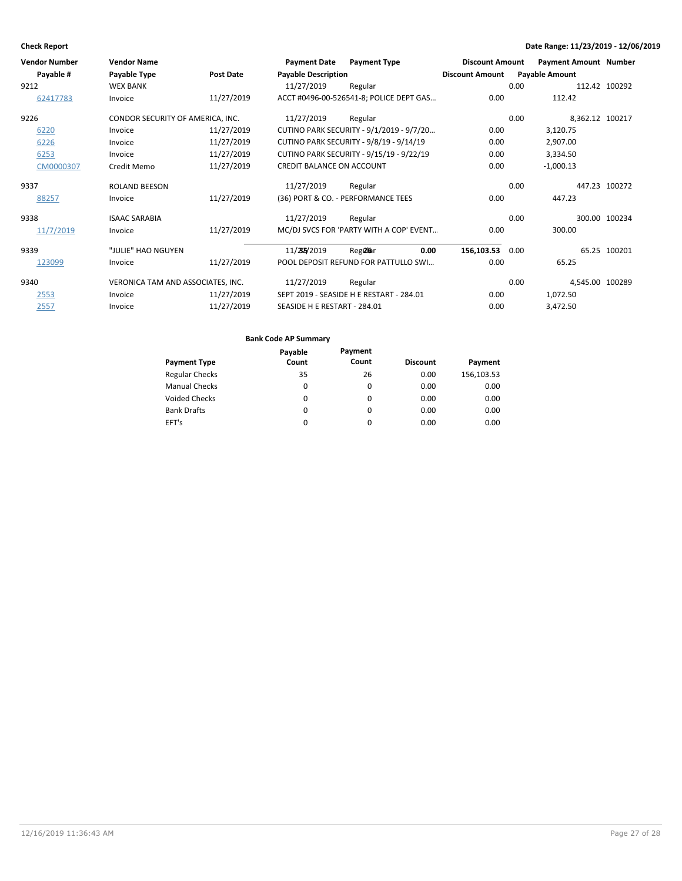| <b>Vendor Number</b> | <b>Vendor Name</b>                |            | <b>Payment Date</b>              | <b>Payment Type</b>                      | <b>Discount Amount</b> |      | <b>Payment Amount Number</b> |               |
|----------------------|-----------------------------------|------------|----------------------------------|------------------------------------------|------------------------|------|------------------------------|---------------|
| Payable #            | Payable Type                      | Post Date  | <b>Payable Description</b>       |                                          | <b>Discount Amount</b> |      | <b>Payable Amount</b>        |               |
| 9212                 | <b>WEX BANK</b>                   |            | 11/27/2019                       | Regular                                  |                        | 0.00 |                              | 112.42 100292 |
| 62417783             | Invoice                           | 11/27/2019 |                                  | ACCT #0496-00-526541-8; POLICE DEPT GAS  | 0.00                   |      | 112.42                       |               |
| 9226                 | CONDOR SECURITY OF AMERICA, INC.  |            | 11/27/2019                       | Regular                                  |                        | 0.00 | 8,362.12 100217              |               |
| 6220                 | Invoice                           | 11/27/2019 |                                  | CUTINO PARK SECURITY - 9/1/2019 - 9/7/20 | 0.00                   |      | 3,120.75                     |               |
| 6226                 | Invoice                           | 11/27/2019 |                                  | CUTINO PARK SECURITY - 9/8/19 - 9/14/19  | 0.00                   |      | 2,907.00                     |               |
| 6253                 | Invoice                           | 11/27/2019 |                                  | CUTINO PARK SECURITY - 9/15/19 - 9/22/19 | 0.00                   |      | 3,334.50                     |               |
| CM0000307            | Credit Memo                       | 11/27/2019 | <b>CREDIT BALANCE ON ACCOUNT</b> |                                          | 0.00                   |      | $-1,000.13$                  |               |
| 9337                 | <b>ROLAND BEESON</b>              |            | 11/27/2019                       | Regular                                  |                        | 0.00 |                              | 447.23 100272 |
| 88257                | Invoice                           | 11/27/2019 |                                  | (36) PORT & CO. - PERFORMANCE TEES       | 0.00                   |      | 447.23                       |               |
| 9338                 | <b>ISAAC SARABIA</b>              |            | 11/27/2019                       | Regular                                  |                        | 0.00 |                              | 300.00 100234 |
| 11/7/2019            | Invoice                           | 11/27/2019 |                                  | MC/DJ SVCS FOR 'PARTY WITH A COP' EVENT  | 0.00                   |      | 300.00                       |               |
| 9339                 | "JULIE" HAO NGUYEN                |            | 11/255/2019                      | Reg <b>ala</b> r<br>0.00                 | 156,103.53             | 0.00 |                              | 65.25 100201  |
| 123099               | Invoice                           | 11/27/2019 |                                  | POOL DEPOSIT REFUND FOR PATTULLO SWI     | 0.00                   |      | 65.25                        |               |
| 9340                 | VERONICA TAM AND ASSOCIATES, INC. |            | 11/27/2019                       | Regular                                  |                        | 0.00 | 4,545.00 100289              |               |
| 2553                 | Invoice                           | 11/27/2019 |                                  | SEPT 2019 - SEASIDE H E RESTART - 284.01 | 0.00                   |      | 1,072.50                     |               |
| 2557                 | Invoice                           | 11/27/2019 | SEASIDE H E RESTART - 284.01     |                                          | 0.00                   |      | 3,472.50                     |               |

| <b>Payment Type</b>   | Payable<br>Count | Payment<br>Count | <b>Discount</b> | Payment    |
|-----------------------|------------------|------------------|-----------------|------------|
| <b>Regular Checks</b> | 35               | 26               | 0.00            | 156,103.53 |
| <b>Manual Checks</b>  | 0                | 0                | 0.00            | 0.00       |
| <b>Voided Checks</b>  | 0                | 0                | 0.00            | 0.00       |
| <b>Bank Drafts</b>    | 0                | 0                | 0.00            | 0.00       |
| EFT's                 | $\Omega$         | $\Omega$         | 0.00            | 0.00       |